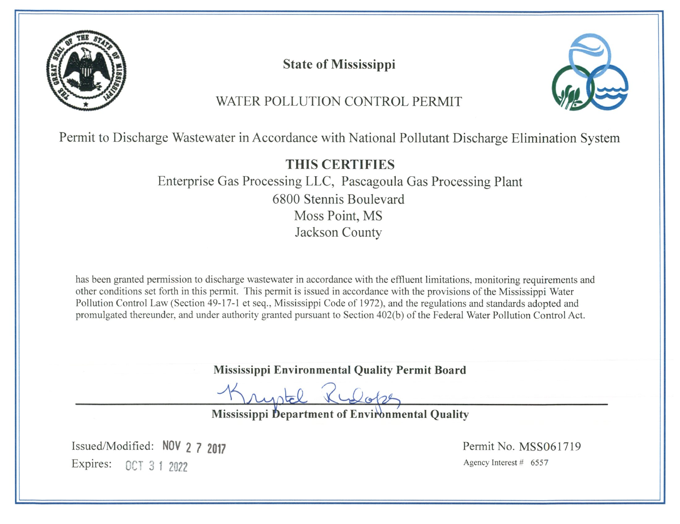

**State of Mississippi** 



# WATER POLLUTION CONTROL PERMIT

Permit to Discharge Wastewater in Accordance with National Pollutant Discharge Elimination System

# **THIS CERTIFIES**

Enterprise Gas Processing LLC, Pascagoula Gas Processing Plant 6800 Stennis Boulevard Moss Point, MS Jackson County

has been granted permission to discharge wastewater in accordance with the effluent limitations, monitoring requirements and other conditions set forth in this permit. This permit is issued in accordance with the provisions of the Mississippi Water Pollution Control Law (Section 49-17-1 et seq., Mississippi Code of 1972), and the regulations and standards adopted and promulgated thereunder, and under authority granted pursuant to Section 402(b) of the Federal Water Pollution Control Act.

Mississippi Environmental Quality Permit Board

 $L_{\text{back}}$ 

Mississippi Department of Environmental Quality

Issued/Modified: NOV 2 7 2017 Expires: 0CT 3 1 2022

Permit No. MSS061719 Agency Interest # 6557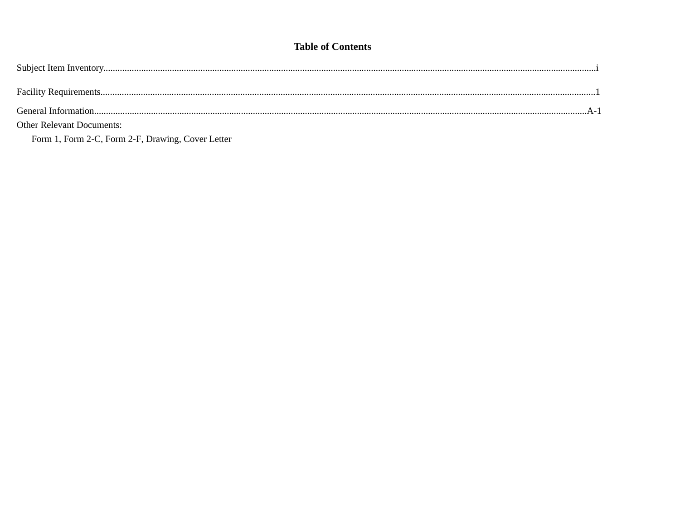### **Table of Contents**

| <b>Other Relevant Documents:</b> |  |
|----------------------------------|--|

Form 1, Form 2-C, Form 2-F, Drawing, Cover Letter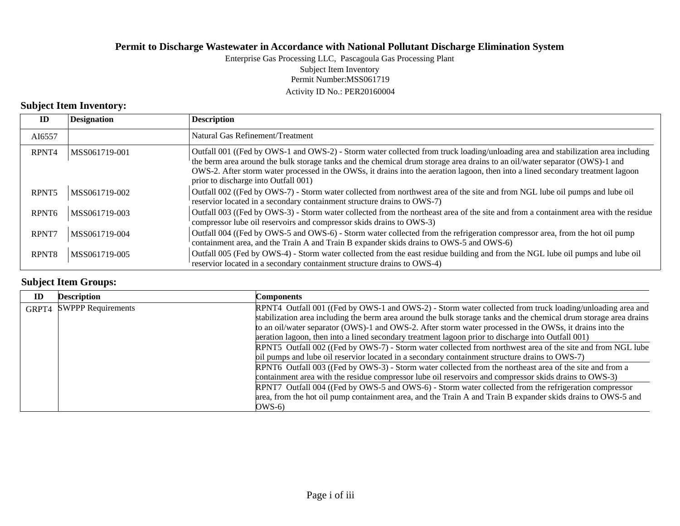#### Permit Number:MSS061719 Activity ID No.: PER20160004 Enterprise Gas Processing LLC, Pascagoula Gas Processing Plant Subject Item Inventory

### **Subject Item Inventory:**

| ID                | <b>Designation</b> | <b>Description</b>                                                                                                                                                                                                                                                                                                                                                                                                                          |
|-------------------|--------------------|---------------------------------------------------------------------------------------------------------------------------------------------------------------------------------------------------------------------------------------------------------------------------------------------------------------------------------------------------------------------------------------------------------------------------------------------|
| AI6557            |                    | Natural Gas Refinement/Treatment                                                                                                                                                                                                                                                                                                                                                                                                            |
| RPNT4             | MSS061719-001      | Outfall 001 ((Fed by OWS-1 and OWS-2) - Storm water collected from truck loading/unloading area and stabilization area including<br>the berm area around the bulk storage tanks and the chemical drum storage area drains to an oil/water separator (OWS)-1 and<br>OWS-2. After storm water processed in the OWSs, it drains into the aeration lagoon, then into a lined secondary treatment lagoon<br>prior to discharge into Outfall 001) |
| RPNT <sub>5</sub> | MSS061719-002      | Outfall 002 ((Fed by OWS-7) - Storm water collected from northwest area of the site and from NGL lube oil pumps and lube oil<br>reservior located in a secondary containment structure drains to OWS-7)                                                                                                                                                                                                                                     |
| RPNT <sub>6</sub> | MSS061719-003      | Outfall 003 ((Fed by OWS-3) - Storm water collected from the northeast area of the site and from a containment area with the residue<br>compressor lube oil reservoirs and compressor skids drains to OWS-3)                                                                                                                                                                                                                                |
| RPNT7             | MSS061719-004      | Outfall 004 ((Fed by OWS-5 and OWS-6) - Storm water collected from the refrigeration compressor area, from the hot oil pump<br>containment area, and the Train A and Train B expander skids drains to OWS-5 and OWS-6)                                                                                                                                                                                                                      |
| RPNT <sub>8</sub> | MSS061719-005      | Outfall 005 (Fed by OWS-4) - Storm water collected from the east residue building and from the NGL lube oil pumps and lube oil<br>reservior located in a secondary containment structure drains to OWS-4)                                                                                                                                                                                                                                   |

## **Subject Item Groups:**

| ID    | <b>Description</b>        | <b>Components</b>                                                                                                                                                                                                                                                                                                                                                                                                                                                                                                                         |
|-------|---------------------------|-------------------------------------------------------------------------------------------------------------------------------------------------------------------------------------------------------------------------------------------------------------------------------------------------------------------------------------------------------------------------------------------------------------------------------------------------------------------------------------------------------------------------------------------|
| GRPT4 | <b>SWPPP Requirements</b> | RPNT4 Outfall 001 ((Fed by OWS-1 and OWS-2) - Storm water collected from truck loading/unloading area and<br>stabilization area including the berm area around the bulk storage tanks and the chemical drum storage area drains<br>to an oil/water separator (OWS)-1 and OWS-2. After storm water processed in the OWSs, it drains into the                                                                                                                                                                                               |
|       |                           | aeration lagoon, then into a lined secondary treatment lagoon prior to discharge into Outfall 001)<br>RPNT5 Outfall 002 ((Fed by OWS-7) - Storm water collected from northwest area of the site and from NGL lube<br>oil pumps and lube oil reservior located in a secondary containment structure drains to OWS-7)<br>RPNT6 Outfall 003 ((Fed by OWS-3) - Storm water collected from the northeast area of the site and from a<br>containment area with the residue compressor lube oil reservoirs and compressor skids drains to OWS-3) |
|       |                           | RPNT7 Outfall 004 ((Fed by OWS-5 and OWS-6) - Storm water collected from the refrigeration compressor<br>area, from the hot oil pump containment area, and the Train A and Train B expander skids drains to OWS-5 and<br>$OWS-6$                                                                                                                                                                                                                                                                                                          |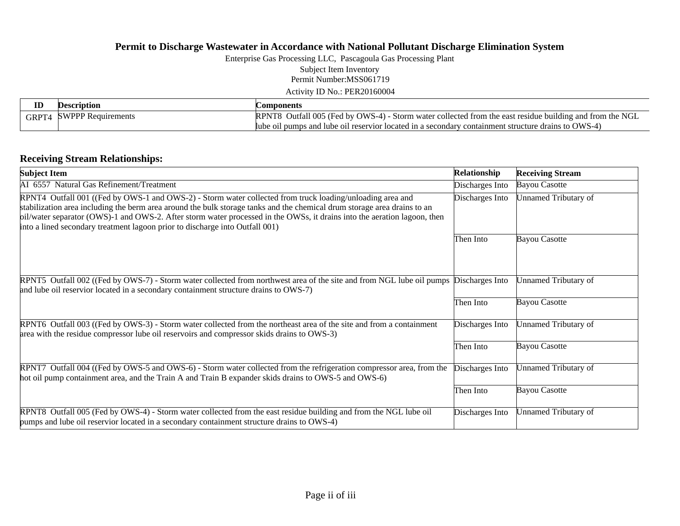Enterprise Gas Processing LLC, Pascagoula Gas Processing Plant Subject Item Inventory

Permit Number:MSS061719

Activity ID No.: PER20160004

| Description              | <b>Components</b>                                                                                        |
|--------------------------|----------------------------------------------------------------------------------------------------------|
| GRPT4 SWPPP Requirements | RPNT8 Outfall 005 (Fed by OWS-4) - Storm water collected from the east residue building and from the NGL |
|                          | lube oil pumps and lube oil reservior located in a secondary containment structure drains to OWS-4)      |

### **Receiving Stream Relationships:**

| <b>Subject Item</b>                                                                                                                                                                                                                                                                                                                                                                                                                               | Relationship    | <b>Receiving Stream</b> |
|---------------------------------------------------------------------------------------------------------------------------------------------------------------------------------------------------------------------------------------------------------------------------------------------------------------------------------------------------------------------------------------------------------------------------------------------------|-----------------|-------------------------|
| AI 6557 Natural Gas Refinement/Treatment                                                                                                                                                                                                                                                                                                                                                                                                          | Discharges Into | <b>Bayou Casotte</b>    |
| RPNT4 Outfall 001 ((Fed by OWS-1 and OWS-2) - Storm water collected from truck loading/unloading area and<br>stabilization area including the berm area around the bulk storage tanks and the chemical drum storage area drains to an<br>oil/water separator (OWS)-1 and OWS-2. After storm water processed in the OWSs, it drains into the aeration lagoon, then<br>into a lined secondary treatment lagoon prior to discharge into Outfall 001) | Discharges Into | Unnamed Tributary of    |
|                                                                                                                                                                                                                                                                                                                                                                                                                                                   | Then Into       | <b>Bayou Casotte</b>    |
| RPNT5 Outfall 002 ((Fed by OWS-7) - Storm water collected from northwest area of the site and from NGL lube oil pumps<br>and lube oil reservior located in a secondary containment structure drains to OWS-7)                                                                                                                                                                                                                                     | Discharges Into | Unnamed Tributary of    |
|                                                                                                                                                                                                                                                                                                                                                                                                                                                   | Then Into       | <b>Bayou Casotte</b>    |
| RPNT6 Outfall 003 ((Fed by OWS-3) - Storm water collected from the northeast area of the site and from a containment<br>area with the residue compressor lube oil reservoirs and compressor skids drains to OWS-3)                                                                                                                                                                                                                                | Discharges Into | Unnamed Tributary of    |
|                                                                                                                                                                                                                                                                                                                                                                                                                                                   | Then Into       | <b>Bayou Casotte</b>    |
| RPNT7 Outfall 004 ((Fed by OWS-5 and OWS-6) - Storm water collected from the refrigeration compressor area, from the<br>hot oil pump containment area, and the Train A and Train B expander skids drains to OWS-5 and OWS-6)                                                                                                                                                                                                                      | Discharges Into | Unnamed Tributary of    |
|                                                                                                                                                                                                                                                                                                                                                                                                                                                   | Then Into       | <b>Bayou Casotte</b>    |
| RPNT8 Outfall 005 (Fed by OWS-4) - Storm water collected from the east residue building and from the NGL lube oil<br>pumps and lube oil reservior located in a secondary containment structure drains to OWS-4)                                                                                                                                                                                                                                   | Discharges Into | Unnamed Tributary of    |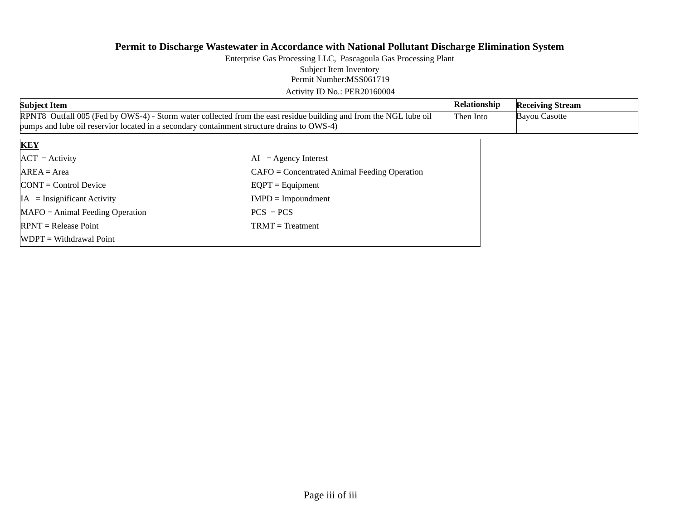Permit Number:MSS061719 Enterprise Gas Processing LLC, Pascagoula Gas Processing Plant Subject Item Inventory

Activity ID No.: PER20160004

| <b>Subject Item</b>                                                                                                                                                                                             | Relationship                                   | <b>Receiving Stream</b> |  |
|-----------------------------------------------------------------------------------------------------------------------------------------------------------------------------------------------------------------|------------------------------------------------|-------------------------|--|
| RPNT8 Outfall 005 (Fed by OWS-4) - Storm water collected from the east residue building and from the NGL lube oil<br>pumps and lube oil reservior located in a secondary containment structure drains to OWS-4) | Then Into                                      | <b>Bayou Casotte</b>    |  |
|                                                                                                                                                                                                                 |                                                |                         |  |
| <b>KEY</b>                                                                                                                                                                                                      |                                                |                         |  |
| $ACT = Activity$                                                                                                                                                                                                | $AI = Agency Interest$                         |                         |  |
| $AREA = Area$                                                                                                                                                                                                   | $CAFO =$ Concentrated Animal Feeding Operation |                         |  |
| $CONT = Control$ Device                                                                                                                                                                                         | $EQPT =$ Equipment                             |                         |  |
| $IA = Insignificant Activity$                                                                                                                                                                                   | $IMPD = Impoundment$                           |                         |  |
| $MAFO = Animal Feeding Operation$                                                                                                                                                                               | $PCS = PCS$                                    |                         |  |
| $RPNT = Release Point$                                                                                                                                                                                          | $TRMT = Treatment$                             |                         |  |
| $W$ DPT = Withdrawal Point                                                                                                                                                                                      |                                                |                         |  |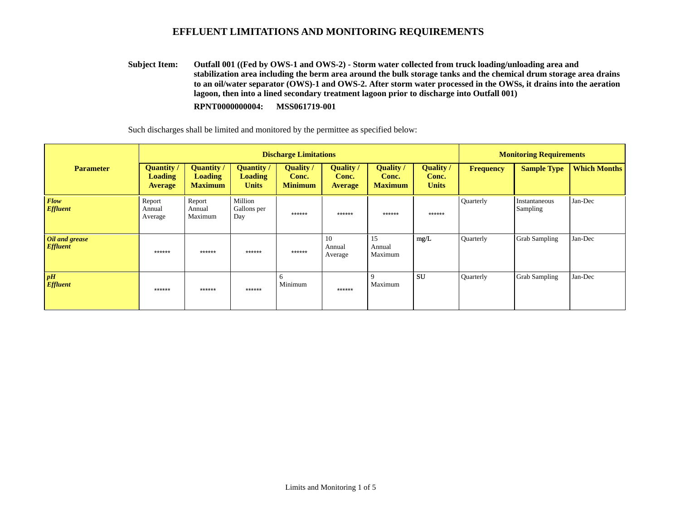**Outfall 001 ((Fed by OWS-1 and OWS-2) - Storm water collected from truck loading/unloading area and stabilization area including the berm area around the bulk storage tanks and the chemical drum storage area drains to an oil/water separator (OWS)-1 and OWS-2. After storm water processed in the OWSs, it drains into the aeration lagoon, then into a lined secondary treatment lagoon prior to discharge into Outfall 001) RPNT0000000004: MSS061719-001 Subject Item:**

|                                   | <b>Discharge Limitations</b>                          |                                                       |                                                   |                                           |                                           |                                             |                                           |           | <b>Monitoring Requirements</b> |                     |  |
|-----------------------------------|-------------------------------------------------------|-------------------------------------------------------|---------------------------------------------------|-------------------------------------------|-------------------------------------------|---------------------------------------------|-------------------------------------------|-----------|--------------------------------|---------------------|--|
| <b>Parameter</b>                  | <b>Quantity</b> /<br><b>Loading</b><br><b>Average</b> | <b>Quantity</b> /<br><b>Loading</b><br><b>Maximum</b> | <b>Quantity</b><br><b>Loading</b><br><b>Units</b> | <b>Quality</b><br>Conc.<br><b>Minimum</b> | <b>Quality</b><br>Conc.<br><b>Average</b> | <b>Quality</b> /<br>Conc.<br><b>Maximum</b> | <b>Quality</b> /<br>Conc.<br><b>Units</b> | Frequency | <b>Sample Type</b>             | <b>Which Months</b> |  |
| <b>Flow</b><br><b>Effluent</b>    | Report<br>Annual<br>Average                           | Report<br>Annual<br>Maximum                           | Million<br>Gallons per<br>Day                     | ******                                    | ******                                    | ******                                      | ******                                    | Quarterly | Instantaneous<br>Sampling      | Jan-Dec             |  |
| Oil and grease<br><b>Effluent</b> | ******                                                | ******                                                | ******                                            | ******                                    | 10<br>Annual<br>Average                   | 15<br>Annual<br>Maximum                     | mg/L                                      | Quarterly | <b>Grab Sampling</b>           | Jan-Dec             |  |
| pH<br><b>Effluent</b>             | ******                                                | ******                                                | ******                                            | <sub>6</sub><br>Minimum                   | ******                                    | $\mathbf Q$<br>Maximum                      | <b>SU</b>                                 | Quarterly | <b>Grab Sampling</b>           | Jan-Dec             |  |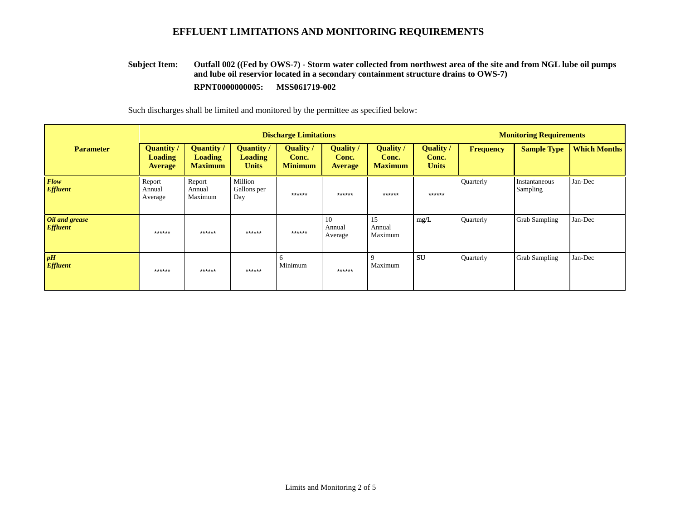#### **Outfall 002 ((Fed by OWS-7) - Storm water collected from northwest area of the site and from NGL lube oil pumps and lube oil reservior located in a secondary containment structure drains to OWS-7) RPNT0000000005: MSS061719-002 Subject Item:**

|                                   |                                                       |                                                       | <b>Discharge Limitations</b>                        |                                           | <b>Monitoring Requirements</b>            |                                      |                                           |           |                           |                     |
|-----------------------------------|-------------------------------------------------------|-------------------------------------------------------|-----------------------------------------------------|-------------------------------------------|-------------------------------------------|--------------------------------------|-------------------------------------------|-----------|---------------------------|---------------------|
| <b>Parameter</b>                  | <b>Quantity</b> /<br><b>Loading</b><br><b>Average</b> | <b>Quantity</b> /<br><b>Loading</b><br><b>Maximum</b> | <b>Quantity</b> /<br><b>Loading</b><br><b>Units</b> | <b>Quality</b><br>Conc.<br><b>Minimum</b> | <b>Quality</b><br>Conc.<br><b>Average</b> | Quality /<br>Conc.<br><b>Maximum</b> | <b>Quality</b> /<br>Conc.<br><b>Units</b> | Frequency | <b>Sample Type</b>        | <b>Which Months</b> |
| <b>Flow</b><br><b>Effluent</b>    | Report<br>Annual<br>Average                           | Report<br>Annual<br>Maximum                           | Million<br>Gallons per<br>Day                       | ******                                    | ******                                    | ******                               | ******                                    | Quarterly | Instantaneous<br>Sampling | Jan-Dec             |
| Oil and grease<br><b>Effluent</b> | ******                                                | ******                                                | ******                                              | ******                                    | 10<br>Annual<br>Average                   | 15<br>Annual<br>Maximum              | mg/L                                      | Quarterly | <b>Grab Sampling</b>      | Jan-Dec             |
| pH<br><b>Effluent</b>             | ******                                                | ******                                                | ******                                              | 6<br>Minimum                              | ******                                    | 9<br>Maximum                         | <b>SU</b>                                 | Quarterly | <b>Grab Sampling</b>      | Jan-Dec             |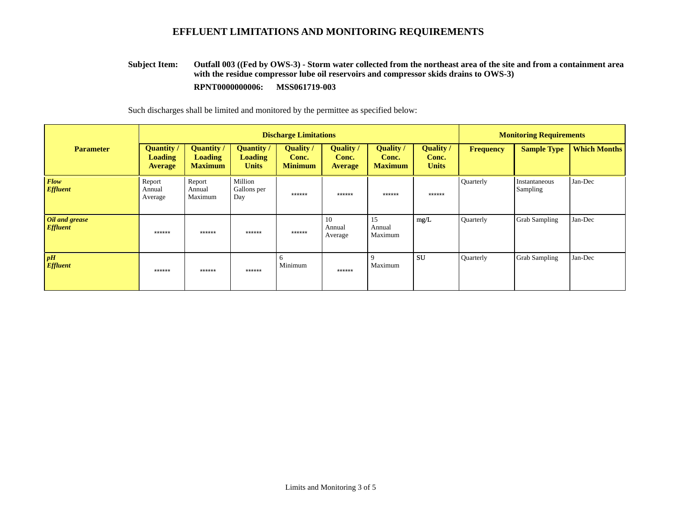#### **Outfall 003 ((Fed by OWS-3) - Storm water collected from the northeast area of the site and from a containment area with the residue compressor lube oil reservoirs and compressor skids drains to OWS-3) RPNT0000000006: MSS061719-003 Subject Item:**

|                                   |                                                       |                                                | <b>Discharge Limitations</b>                        |                                           | <b>Monitoring Requirements</b>      |                                      |                                           |                  |                                  |                     |
|-----------------------------------|-------------------------------------------------------|------------------------------------------------|-----------------------------------------------------|-------------------------------------------|-------------------------------------|--------------------------------------|-------------------------------------------|------------------|----------------------------------|---------------------|
| <b>Parameter</b>                  | <b>Quantity</b> /<br><b>Loading</b><br><b>Average</b> | <b>Quantity</b> /<br>Loading<br><b>Maximum</b> | <b>Quantity</b> /<br><b>Loading</b><br><b>Units</b> | <b>Quality</b><br>Conc.<br><b>Minimum</b> | Quality/<br>Conc.<br><b>Average</b> | Quality /<br>Conc.<br><b>Maximum</b> | <b>Quality</b> /<br>Conc.<br><b>Units</b> | <b>Frequency</b> | <b>Sample Type</b>               | <b>Which Months</b> |
| <b>Flow</b><br><b>Effluent</b>    | Report<br>Annual<br>Average                           | Report<br>Annual<br>Maximum                    | Million<br>Gallons per<br>Day                       | ******                                    | ******                              | ******                               | ******                                    | Quarterly        | Instantaneous<br><b>Sampling</b> | Jan-Dec             |
| Oil and grease<br><b>Effluent</b> | ******                                                | ******                                         | ******                                              | ******                                    | 10<br>Annual<br>Average             | 15<br>Annual<br>Maximum              | mg/L                                      | Quarterly        | <b>Grab Sampling</b>             | Jan-Dec             |
| pH<br><b>Effluent</b>             | ******                                                | ******                                         | ******                                              | 6<br>Minimum                              | $******$                            | 9<br>Maximum                         | <b>SU</b>                                 | Quarterly        | <b>Grab Sampling</b>             | Jan-Dec             |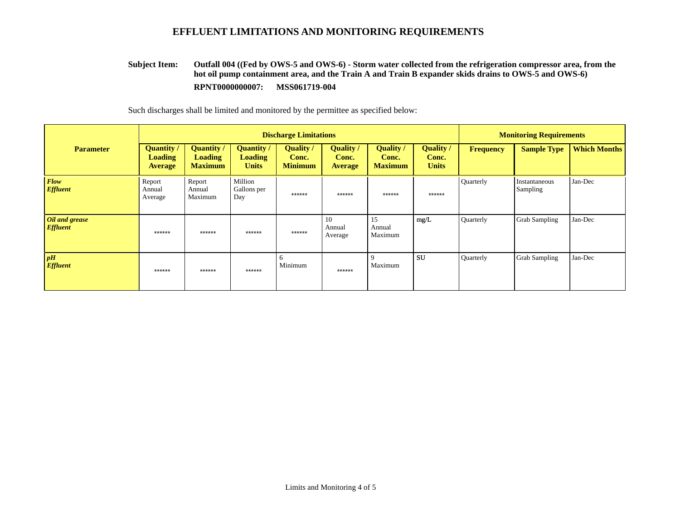#### **Outfall 004 ((Fed by OWS-5 and OWS-6) - Storm water collected from the refrigeration compressor area, from the hot oil pump containment area, and the Train A and Train B expander skids drains to OWS-5 and OWS-6) RPNT0000000007: MSS061719-004 Subject Item:**

|                                   |                                                       |                                                       | <b>Discharge Limitations</b>                        |                                           | <b>Monitoring Requirements</b>              |                                      |                                           |           |                           |                     |
|-----------------------------------|-------------------------------------------------------|-------------------------------------------------------|-----------------------------------------------------|-------------------------------------------|---------------------------------------------|--------------------------------------|-------------------------------------------|-----------|---------------------------|---------------------|
| <b>Parameter</b>                  | <b>Quantity</b> /<br><b>Loading</b><br><b>Average</b> | <b>Quantity /</b><br><b>Loading</b><br><b>Maximum</b> | <b>Quantity</b> /<br><b>Loading</b><br><b>Units</b> | <b>Quality</b><br>Conc.<br><b>Minimum</b> | <b>Quality</b> /<br>Conc.<br><b>Average</b> | Quality /<br>Conc.<br><b>Maximum</b> | <b>Quality</b> /<br>Conc.<br><b>Units</b> | Frequency | <b>Sample Type</b>        | <b>Which Months</b> |
| <b>Flow</b><br><b>Effluent</b>    | Report<br>Annual<br>Average                           | Report<br>Annual<br>Maximum                           | Million<br>Gallons per<br>Day                       | ******                                    | ******                                      | ******                               | ******                                    | Quarterly | Instantaneous<br>Sampling | Jan-Dec             |
| Oil and grease<br><b>Effluent</b> | ******                                                | ******                                                | ******                                              | ******                                    | 10<br>Annual<br>Average                     | 15<br>Annual<br>Maximum              | mg/L                                      | Quarterly | <b>Grab Sampling</b>      | Jan-Dec             |
| pH<br><b>Effluent</b>             | ******                                                | ******                                                | ******                                              | 6<br>Minimum                              | ******                                      | 9<br>Maximum                         | <b>SU</b>                                 | Quarterly | <b>Grab Sampling</b>      | Jan-Dec             |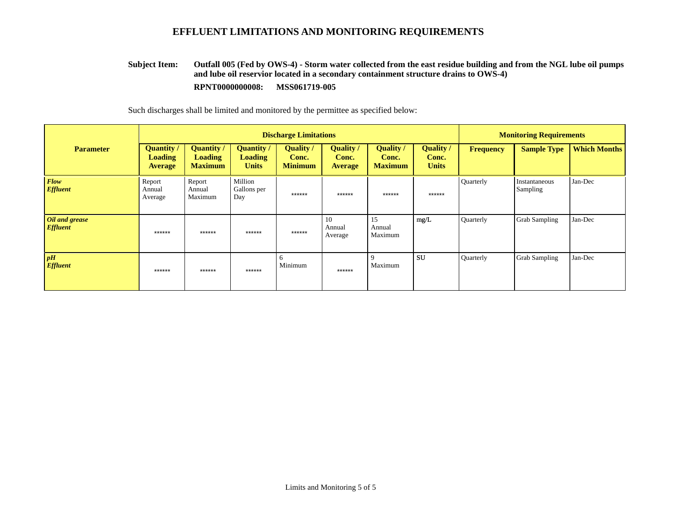#### **Outfall 005 (Fed by OWS-4) - Storm water collected from the east residue building and from the NGL lube oil pumps and lube oil reservior located in a secondary containment structure drains to OWS-4) RPNT0000000008: MSS061719-005 Subject Item:**

|                                   |                                                       |                                                | <b>Discharge Limitations</b>                        |                                           | <b>Monitoring Requirements</b>      |                                      |                                           |                  |                                  |                     |
|-----------------------------------|-------------------------------------------------------|------------------------------------------------|-----------------------------------------------------|-------------------------------------------|-------------------------------------|--------------------------------------|-------------------------------------------|------------------|----------------------------------|---------------------|
| <b>Parameter</b>                  | <b>Quantity</b> /<br><b>Loading</b><br><b>Average</b> | <b>Quantity</b> /<br>Loading<br><b>Maximum</b> | <b>Quantity</b> /<br><b>Loading</b><br><b>Units</b> | <b>Quality</b><br>Conc.<br><b>Minimum</b> | Quality/<br>Conc.<br><b>Average</b> | Quality /<br>Conc.<br><b>Maximum</b> | <b>Quality</b> /<br>Conc.<br><b>Units</b> | <b>Frequency</b> | <b>Sample Type</b>               | <b>Which Months</b> |
| <b>Flow</b><br><b>Effluent</b>    | Report<br>Annual<br>Average                           | Report<br>Annual<br>Maximum                    | Million<br>Gallons per<br>Day                       | ******                                    | ******                              | ******                               | ******                                    | Quarterly        | Instantaneous<br><b>Sampling</b> | Jan-Dec             |
| Oil and grease<br><b>Effluent</b> | ******                                                | ******                                         | ******                                              | ******                                    | 10<br>Annual<br>Average             | 15<br>Annual<br>Maximum              | mg/L                                      | Quarterly        | <b>Grab Sampling</b>             | Jan-Dec             |
| pH<br><b>Effluent</b>             | ******                                                | ******                                         | ******                                              | 6<br>Minimum                              | $******$                            | 9<br>Maximum                         | <b>SU</b>                                 | Quarterly        | <b>Grab Sampling</b>             | Jan-Dec             |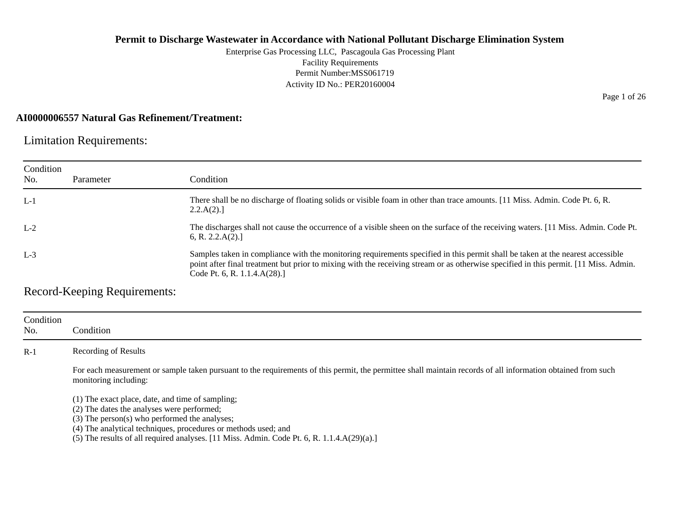Enterprise Gas Processing LLC, Pascagoula Gas Processing Plant Facility Requirements Permit Number:MSS061719 Activity ID No.: PER20160004

#### **AI0000006557 Natural Gas Refinement/Treatment:**

Limitation Requirements:

| Condition<br>No. | Parameter | Condition                                                                                                                                                                                                                                                                                              |
|------------------|-----------|--------------------------------------------------------------------------------------------------------------------------------------------------------------------------------------------------------------------------------------------------------------------------------------------------------|
| $L-1$            |           | There shall be no discharge of floating solids or visible foam in other than trace amounts. [11 Miss. Admin. Code Pt. 6, R.<br>2.2.A(2).                                                                                                                                                               |
| $L-2$            |           | The discharges shall not cause the occurrence of a visible sheen on the surface of the receiving waters. [11 Miss. Admin. Code Pt.<br>6, R. 2.2.A(2).                                                                                                                                                  |
| $L-3$            |           | Samples taken in compliance with the monitoring requirements specified in this permit shall be taken at the nearest accessible<br>point after final treatment but prior to mixing with the receiving stream or as otherwise specified in this permit. [11 Miss. Admin.<br>Code Pt. 6, R. 1.1.4.A(28).] |

Record-Keeping Requirements:

| Condition<br>No. | Condition                                                                                                                                                                                                         |
|------------------|-------------------------------------------------------------------------------------------------------------------------------------------------------------------------------------------------------------------|
| $R-1$            | Recording of Results                                                                                                                                                                                              |
|                  | For each measurement or sample taken pursuant to the requirements of this permit, the permittee shall maintain records of all information obtained from such<br>monitoring including:                             |
|                  | (1) The exact place, date, and time of sampling;<br>(2) The dates the analyses were performed;<br>(3) The person(s) who performed the analyses;<br>(4) The analytical techniques, procedures or methods used; and |

 $(5)$  The results of all required analyses. [11 Miss. Admin. Code Pt. 6, R. 1.1.4.A $(29)(a)$ .]

Page 1 of 26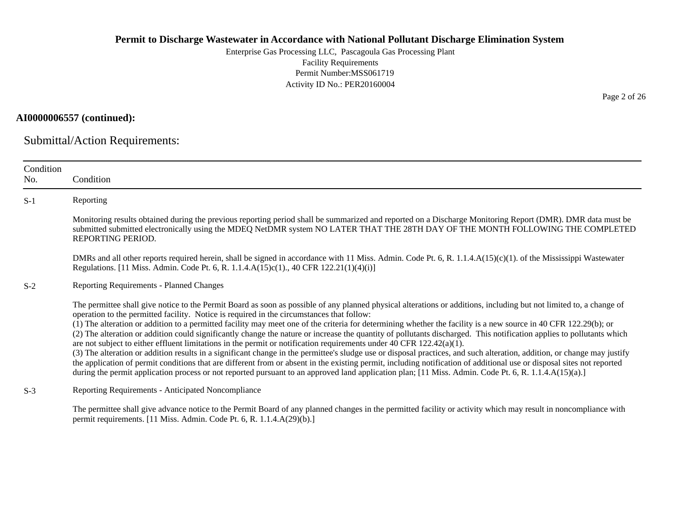Enterprise Gas Processing LLC, Pascagoula Gas Processing Plant Facility Requirements Permit Number:MSS061719 Activity ID No.: PER20160004

#### **AI0000006557 (continued):**

Submittal/Action Requirements:

| Condition<br>No. | Condition                                                                                                                                                                                                                                                                                                                                                                                                                                                                                                                                                                                                                                                                                                                                                                                                                                                                                                                                                                                                                                                                                                                                                                                                                                               |
|------------------|---------------------------------------------------------------------------------------------------------------------------------------------------------------------------------------------------------------------------------------------------------------------------------------------------------------------------------------------------------------------------------------------------------------------------------------------------------------------------------------------------------------------------------------------------------------------------------------------------------------------------------------------------------------------------------------------------------------------------------------------------------------------------------------------------------------------------------------------------------------------------------------------------------------------------------------------------------------------------------------------------------------------------------------------------------------------------------------------------------------------------------------------------------------------------------------------------------------------------------------------------------|
| $S-1$            | Reporting                                                                                                                                                                                                                                                                                                                                                                                                                                                                                                                                                                                                                                                                                                                                                                                                                                                                                                                                                                                                                                                                                                                                                                                                                                               |
|                  | Monitoring results obtained during the previous reporting period shall be summarized and reported on a Discharge Monitoring Report (DMR). DMR data must be<br>submitted submitted electronically using the MDEQ NetDMR system NO LATER THAT THE 28TH DAY OF THE MONTH FOLLOWING THE COMPLETED<br>REPORTING PERIOD.                                                                                                                                                                                                                                                                                                                                                                                                                                                                                                                                                                                                                                                                                                                                                                                                                                                                                                                                      |
|                  | DMRs and all other reports required herein, shall be signed in accordance with 11 Miss. Admin. Code Pt. 6, R. 1.1.4.A(15)(c)(1). of the Mississippi Wastewater<br>Regulations. [11 Miss. Admin. Code Pt. 6, R. 1.1.4.A(15)c(1)., 40 CFR 122.21(1)(4)(i)]                                                                                                                                                                                                                                                                                                                                                                                                                                                                                                                                                                                                                                                                                                                                                                                                                                                                                                                                                                                                |
| $S-2$            | <b>Reporting Requirements - Planned Changes</b>                                                                                                                                                                                                                                                                                                                                                                                                                                                                                                                                                                                                                                                                                                                                                                                                                                                                                                                                                                                                                                                                                                                                                                                                         |
|                  | The permittee shall give notice to the Permit Board as soon as possible of any planned physical alterations or additions, including but not limited to, a change of<br>operation to the permitted facility. Notice is required in the circumstances that follow:<br>(1) The alteration or addition to a permitted facility may meet one of the criteria for determining whether the facility is a new source in 40 CFR 122.29(b); or<br>(2) The alteration or addition could significantly change the nature or increase the quantity of pollutants discharged. This notification applies to pollutants which<br>are not subject to either effluent limitations in the permit or notification requirements under 40 CFR $122.42(a)(1)$ .<br>(3) The alteration or addition results in a significant change in the permittee's sludge use or disposal practices, and such alteration, addition, or change may justify<br>the application of permit conditions that are different from or absent in the existing permit, including notification of additional use or disposal sites not reported<br>during the permit application process or not reported pursuant to an approved land application plan; [11 Miss. Admin. Code Pt. 6, R. 1.1.4.A(15)(a).] |
| $S-3$            | Reporting Requirements - Anticipated Noncompliance                                                                                                                                                                                                                                                                                                                                                                                                                                                                                                                                                                                                                                                                                                                                                                                                                                                                                                                                                                                                                                                                                                                                                                                                      |
|                  | The permittee shall give advance notice to the Permit Board of any planned changes in the permitted facility or activity which may result in noncompliance with                                                                                                                                                                                                                                                                                                                                                                                                                                                                                                                                                                                                                                                                                                                                                                                                                                                                                                                                                                                                                                                                                         |

permit requirements. [11 Miss. Admin. Code Pt. 6, R. 1.1.4.A(29)(b).]

Page 2 of 26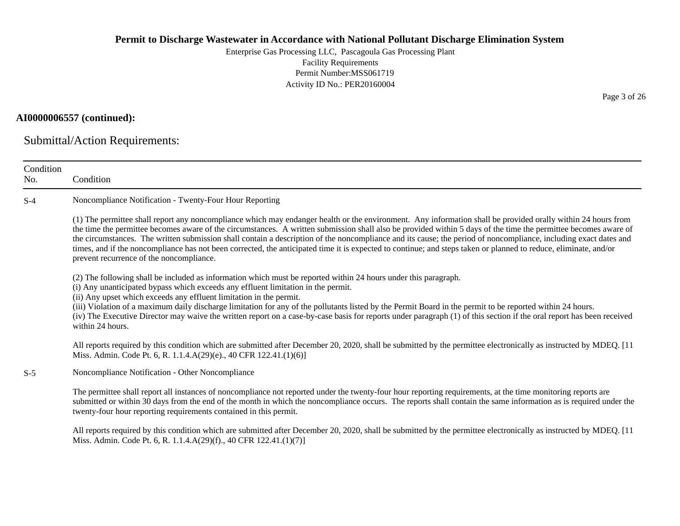Enterprise Gas Processing LLC, Pascagoula Gas Processing Plant Facility Requirements Permit Number:MSS061719 Activity ID No.: PER20160004

### **AI0000006557 (continued):**

Submittal/Action Requirements:

| Condition<br>No. | Condition                                                                                                                                                                                                                                                                                                                                                                                                                                                                                                                                                                                                                                                                                                           |
|------------------|---------------------------------------------------------------------------------------------------------------------------------------------------------------------------------------------------------------------------------------------------------------------------------------------------------------------------------------------------------------------------------------------------------------------------------------------------------------------------------------------------------------------------------------------------------------------------------------------------------------------------------------------------------------------------------------------------------------------|
| $S-4$            | Noncompliance Notification - Twenty-Four Hour Reporting                                                                                                                                                                                                                                                                                                                                                                                                                                                                                                                                                                                                                                                             |
|                  | (1) The permittee shall report any noncompliance which may endanger health or the environment. Any information shall be provided orally within 24 hours from<br>the time the permittee becomes aware of the circumstances. A written submission shall also be provided within 5 days of the time the permittee becomes aware of<br>the circumstances. The written submission shall contain a description of the noncompliance and its cause; the period of noncompliance, including exact dates and<br>times, and if the noncompliance has not been corrected, the anticipated time it is expected to continue; and steps taken or planned to reduce, eliminate, and/or<br>prevent recurrence of the noncompliance. |
|                  | (2) The following shall be included as information which must be reported within 24 hours under this paragraph.<br>(i) Any unanticipated bypass which exceeds any effluent limitation in the permit.<br>(ii) Any upset which exceeds any effluent limitation in the permit.<br>(iii) Violation of a maximum daily discharge limitation for any of the pollutants listed by the Permit Board in the permit to be reported within 24 hours.<br>(iv) The Executive Director may waive the written report on a case-by-case basis for reports under paragraph (1) of this section if the oral report has been received<br>within 24 hours.                                                                              |
|                  | All reports required by this condition which are submitted after December 20, 2020, shall be submitted by the permittee electronically as instructed by MDEQ. [11<br>Miss. Admin. Code Pt. 6, R. 1.1.4.A(29)(e)., 40 CFR 122.41.(1)(6)]                                                                                                                                                                                                                                                                                                                                                                                                                                                                             |
| $S-5$            | Noncompliance Notification - Other Noncompliance                                                                                                                                                                                                                                                                                                                                                                                                                                                                                                                                                                                                                                                                    |
|                  | The permittee shall report all instances of noncompliance not reported under the twenty-four hour reporting requirements, at the time monitoring reports are<br>submitted or within 30 days from the end of the month in which the noncompliance occurs. The reports shall contain the same information as is required under the<br>twenty-four hour reporting requirements contained in this permit.                                                                                                                                                                                                                                                                                                               |
|                  | All reports required by this condition which are submitted after December 20, 2020, shall be submitted by the permittee electronically as instructed by MDEQ. [11]                                                                                                                                                                                                                                                                                                                                                                                                                                                                                                                                                  |

Miss. Admin. Code Pt. 6, R. 1.1.4.A(29)(f)., 40 CFR 122.41.(1)(7)]

Page 3 of 26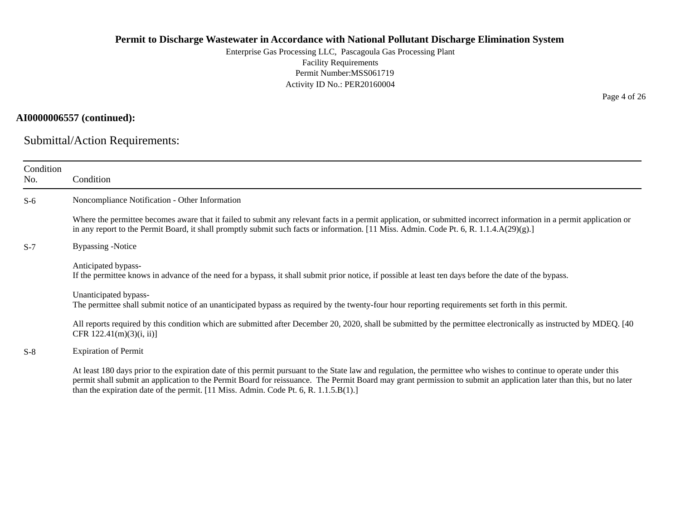Enterprise Gas Processing LLC, Pascagoula Gas Processing Plant Facility Requirements Permit Number:MSS061719 Activity ID No.: PER20160004

### **AI0000006557 (continued):**

Submittal/Action Requirements:

| Condition<br>No. | Condition                                                                                                                                                                                                                                                                                                                                                                                                                         |
|------------------|-----------------------------------------------------------------------------------------------------------------------------------------------------------------------------------------------------------------------------------------------------------------------------------------------------------------------------------------------------------------------------------------------------------------------------------|
| $S-6$            | Noncompliance Notification - Other Information                                                                                                                                                                                                                                                                                                                                                                                    |
|                  | Where the permittee becomes aware that it failed to submit any relevant facts in a permit application, or submitted incorrect information in a permit application or<br>in any report to the Permit Board, it shall promptly submit such facts or information. [11 Miss. Admin. Code Pt. 6, R. 1.1.4.A(29)(g).]                                                                                                                   |
| $S-7$            | <b>Bypassing -Notice</b>                                                                                                                                                                                                                                                                                                                                                                                                          |
|                  | Anticipated bypass-<br>If the permittee knows in advance of the need for a bypass, it shall submit prior notice, if possible at least ten days before the date of the bypass.                                                                                                                                                                                                                                                     |
|                  | Unanticipated bypass-<br>The permittee shall submit notice of an unanticipated bypass as required by the twenty-four hour reporting requirements set forth in this permit.                                                                                                                                                                                                                                                        |
|                  | All reports required by this condition which are submitted after December 20, 2020, shall be submitted by the permittee electronically as instructed by MDEQ. [40]<br>CFR $122.41(m)(3)(i, ii)$ ]                                                                                                                                                                                                                                 |
| $S-8$            | <b>Expiration of Permit</b>                                                                                                                                                                                                                                                                                                                                                                                                       |
|                  | At least 180 days prior to the expiration date of this permit pursuant to the State law and regulation, the permittee who wishes to continue to operate under this<br>permit shall submit an application to the Permit Board for reissuance. The Permit Board may grant permission to submit an application later than this, but no later<br>than the expiration date of the permit. [11 Miss. Admin. Code Pt. 6, R. 1.1.5.B(1).] |

Page 4 of 26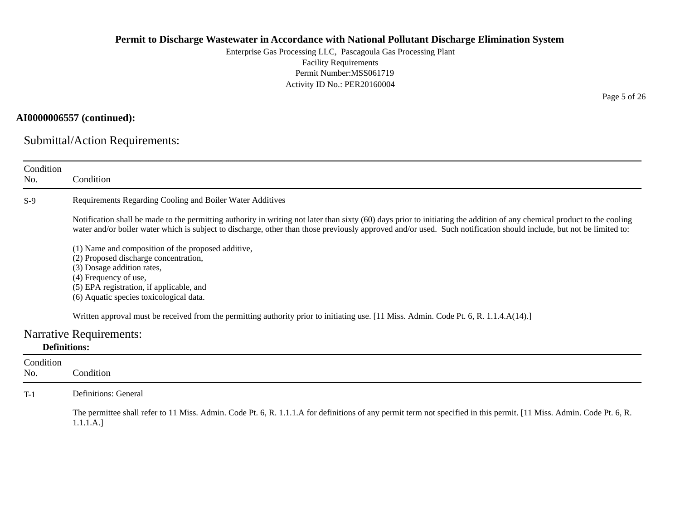Enterprise Gas Processing LLC, Pascagoula Gas Processing Plant Facility Requirements Permit Number:MSS061719 Activity ID No.: PER20160004

### **AI0000006557 (continued):**

Submittal/Action Requirements:

| Condition<br>No.    | Condition                                                                                                                                                                                                                                                                                                                                       |
|---------------------|-------------------------------------------------------------------------------------------------------------------------------------------------------------------------------------------------------------------------------------------------------------------------------------------------------------------------------------------------|
| $S-9$               | Requirements Regarding Cooling and Boiler Water Additives                                                                                                                                                                                                                                                                                       |
|                     | Notification shall be made to the permitting authority in writing not later than sixty (60) days prior to initiating the addition of any chemical product to the cooling<br>water and/or boiler water which is subject to discharge, other than those previously approved and/or used. Such notification should include, but not be limited to: |
|                     | (1) Name and composition of the proposed additive,<br>(2) Proposed discharge concentration,<br>(3) Dosage addition rates,<br>(4) Frequency of use,<br>(5) EPA registration, if applicable, and<br>(6) Aquatic species toxicological data.                                                                                                       |
|                     | Written approval must be received from the permitting authority prior to initiating use. [11 Miss. Admin. Code Pt. 6, R. 1.1.4.A(14).]                                                                                                                                                                                                          |
|                     | <b>Narrative Requirements:</b>                                                                                                                                                                                                                                                                                                                  |
| <b>Definitions:</b> |                                                                                                                                                                                                                                                                                                                                                 |
| Condition           |                                                                                                                                                                                                                                                                                                                                                 |
| No.                 | Condition                                                                                                                                                                                                                                                                                                                                       |
| $T-1$               | Definitions: General                                                                                                                                                                                                                                                                                                                            |
|                     | The permittee shall refer to 11 Miss. Admin. Code Pt. 6, R. 1.1.1.A for definitions of any permit term not specified in this permit. [11 Miss. Admin. Code Pt. 6, R.<br>1.1.1.A.]                                                                                                                                                               |

Page 5 of 26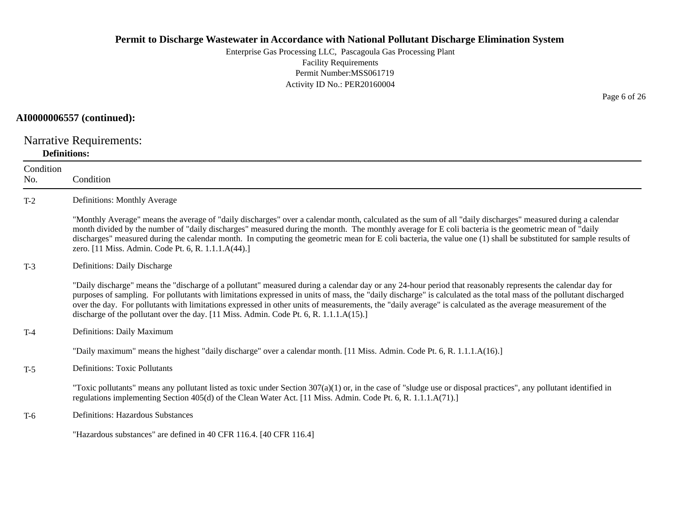Enterprise Gas Processing LLC, Pascagoula Gas Processing Plant Facility Requirements Permit Number:MSS061719Activity ID No.: PER20160004

#### **AI0000006557 (continued):**

Narrative Requirements: **Definitions:**

**Condition** No. ConditionT-2 Definitions: Monthly Average "Monthly Average" means the average of "daily discharges" over a calendar month, calculated as the sum of all "daily discharges" measured during a calendar month divided by the number of "daily discharges" measured during the month. The monthly average for E coli bacteria is the geometric mean of "daily discharges" measured during the calendar month. In computing the geometric mean for E coli bacteria, the value one (1) shall be substituted for sample results of zero. [11 Miss. Admin. Code Pt. 6, R. 1.1.1.A(44).] T-3 Definitions: Daily Discharge "Daily discharge" means the "discharge of a pollutant" measured during a calendar day or any 24-hour period that reasonably represents the calendar day for purposes of sampling. For pollutants with limitations expressed in units of mass, the "daily discharge" is calculated as the total mass of the pollutant discharged over the day. For pollutants with limitations expressed in other units of measurements, the "daily average" is calculated as the average measurement of the discharge of the pollutant over the day. [11 Miss. Admin. Code Pt. 6, R. 1.1.1.A(15).] T-4 Definitions: Daily Maximum "Daily maximum" means the highest "daily discharge" over a calendar month. [11 Miss. Admin. Code Pt. 6, R. 1.1.1.A(16).] T-5 Definitions: Toxic Pollutants "Toxic pollutants" means any pollutant listed as toxic under Section  $307(a)(1)$  or, in the case of "sludge use or disposal practices", any pollutant identified in regulations implementing Section 405(d) of the Clean Water Act. [11 Miss. Admin. Code Pt. 6, R. 1.1.1.A(71).] T-6 Definitions: Hazardous Substances "Hazardous substances" are defined in 40 CFR 116.4. [40 CFR 116.4]

Page 6 of 26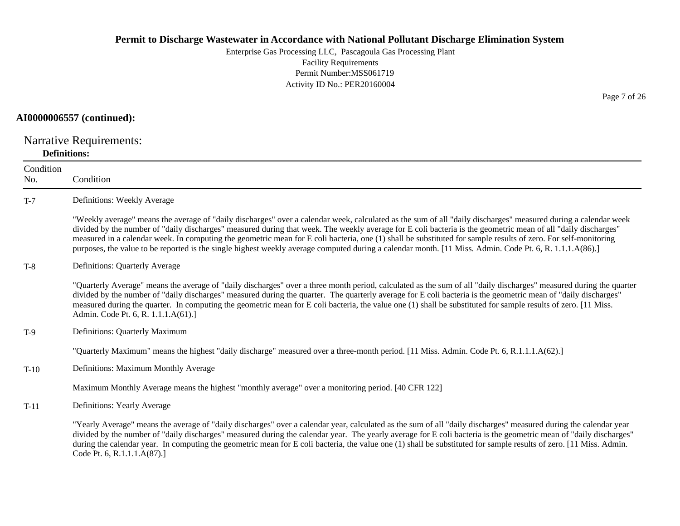Enterprise Gas Processing LLC, Pascagoula Gas Processing Plant Facility Requirements Permit Number:MSS061719Activity ID No.: PER20160004

#### **AI0000006557 (continued):**

Narrative Requirements: **Definitions:**

**Condition** No. ConditionT-7 Definitions: Weekly Average "Weekly average" means the average of "daily discharges" over a calendar week, calculated as the sum of all "daily discharges" measured during a calendar week divided by the number of "daily discharges" measured during that week. The weekly average for E coli bacteria is the geometric mean of all "daily discharges" measured in a calendar week. In computing the geometric mean for E coli bacteria, one (1) shall be substituted for sample results of zero. For self-monitoring purposes, the value to be reported is the single highest weekly average computed during a calendar month. [11 Miss. Admin. Code Pt. 6, R. 1.1.1.A(86).] T-8 Definitions: Quarterly Average "Quarterly Average" means the average of "daily discharges" over a three month period, calculated as the sum of all "daily discharges" measured during the quarter divided by the number of "daily discharges" measured during the quarter. The quarterly average for E coli bacteria is the geometric mean of "daily discharges" measured during the quarter. In computing the geometric mean for E coli bacteria, the value one (1) shall be substituted for sample results of zero. [11 Miss. Admin. Code Pt. 6, R. 1.1.1.A(61).] T-9 Definitions: Quarterly Maximum "Quarterly Maximum" means the highest "daily discharge" measured over a three-month period. [11 Miss. Admin. Code Pt. 6, R.1.1.1.A(62).] T-10 Definitions: Maximum Monthly Average Maximum Monthly Average means the highest "monthly average" over a monitoring period. [40 CFR 122] T-11 Definitions: Yearly Average "Yearly Average" means the average of "daily discharges" over a calendar year, calculated as the sum of all "daily discharges" measured during the calendar year divided by the number of "daily discharges" measured during the calendar year. The yearly average for E coli bacteria is the geometric mean of "daily discharges" during the calendar year. In computing the geometric mean for E coli bacteria, the value one (1) shall be substituted for sample results of zero. [11 Miss. Admin. Code Pt. 6, R.1.1.1.A(87).]

Page 7 of 26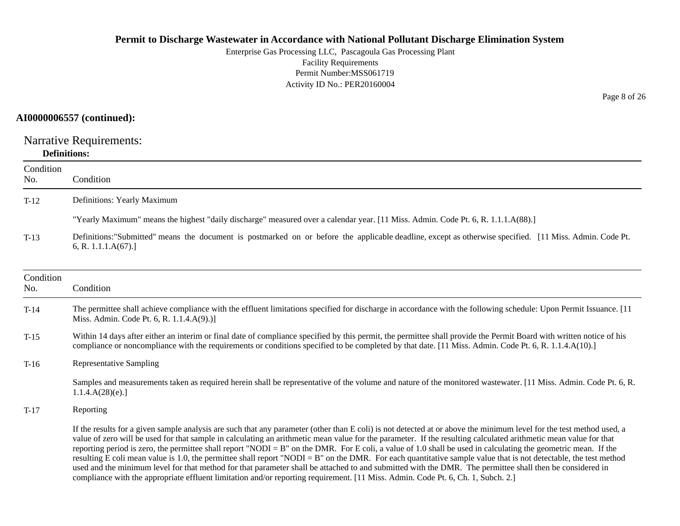Enterprise Gas Processing LLC, Pascagoula Gas Processing Plant Facility Requirements Permit Number:MSS061719Activity ID No.: PER20160004

### **AI0000006557 (continued):**

Narrative Requirements: **Definitions:**

| Condition<br>No. | Condition                                                                                                                                                                                                                                                                                                                                                                                                                                                                                                                                                                                                                                                                                                                                                                                                                                                                                                                                                                         |
|------------------|-----------------------------------------------------------------------------------------------------------------------------------------------------------------------------------------------------------------------------------------------------------------------------------------------------------------------------------------------------------------------------------------------------------------------------------------------------------------------------------------------------------------------------------------------------------------------------------------------------------------------------------------------------------------------------------------------------------------------------------------------------------------------------------------------------------------------------------------------------------------------------------------------------------------------------------------------------------------------------------|
| $T-12$           | Definitions: Yearly Maximum                                                                                                                                                                                                                                                                                                                                                                                                                                                                                                                                                                                                                                                                                                                                                                                                                                                                                                                                                       |
|                  | "Yearly Maximum" means the highest "daily discharge" measured over a calendar year. [11 Miss. Admin. Code Pt. 6, R. 1.1.1.A(88).]                                                                                                                                                                                                                                                                                                                                                                                                                                                                                                                                                                                                                                                                                                                                                                                                                                                 |
| $T-13$           | Definitions: "Submitted" means the document is postmarked on or before the applicable deadline, except as otherwise specified. [11 Miss. Admin. Code Pt.<br>6, R. 1.1.1.A(67).                                                                                                                                                                                                                                                                                                                                                                                                                                                                                                                                                                                                                                                                                                                                                                                                    |
| Condition<br>No. | Condition                                                                                                                                                                                                                                                                                                                                                                                                                                                                                                                                                                                                                                                                                                                                                                                                                                                                                                                                                                         |
| $T-14$           | The permittee shall achieve compliance with the effluent limitations specified for discharge in accordance with the following schedule: Upon Permit Issuance. [11]<br>Miss. Admin. Code Pt. 6, R. 1.1.4.A(9).)]                                                                                                                                                                                                                                                                                                                                                                                                                                                                                                                                                                                                                                                                                                                                                                   |
| $T-15$           | Within 14 days after either an interim or final date of compliance specified by this permit, the permittee shall provide the Permit Board with written notice of his<br>compliance or noncompliance with the requirements or conditions specified to be completed by that date. [11 Miss. Admin. Code Pt. 6, R. 1.1.4.A(10).]                                                                                                                                                                                                                                                                                                                                                                                                                                                                                                                                                                                                                                                     |
| $T-16$           | <b>Representative Sampling</b>                                                                                                                                                                                                                                                                                                                                                                                                                                                                                                                                                                                                                                                                                                                                                                                                                                                                                                                                                    |
|                  | Samples and measurements taken as required herein shall be representative of the volume and nature of the monitored wastewater. [11 Miss. Admin. Code Pt. 6, R.<br>1.1.4.A(28)(e).                                                                                                                                                                                                                                                                                                                                                                                                                                                                                                                                                                                                                                                                                                                                                                                                |
| $T-17$           | Reporting                                                                                                                                                                                                                                                                                                                                                                                                                                                                                                                                                                                                                                                                                                                                                                                                                                                                                                                                                                         |
|                  | If the results for a given sample analysis are such that any parameter (other than E coli) is not detected at or above the minimum level for the test method used, a<br>value of zero will be used for that sample in calculating an arithmetic mean value for the parameter. If the resulting calculated arithmetic mean value for that<br>reporting period is zero, the permittee shall report "NODI = B" on the DMR. For E coli, a value of 1.0 shall be used in calculating the geometric mean. If the<br>resulting E coli mean value is 1.0, the permittee shall report "NODI = $B$ " on the DMR. For each quantitative sample value that is not detectable, the test method<br>used and the minimum level for that method for that parameter shall be attached to and submitted with the DMR. The permittee shall then be considered in<br>compliance with the appropriate effluent limitation and/or reporting requirement. [11 Miss. Admin. Code Pt. 6, Ch. 1, Subch. 2.] |

Page 8 of 26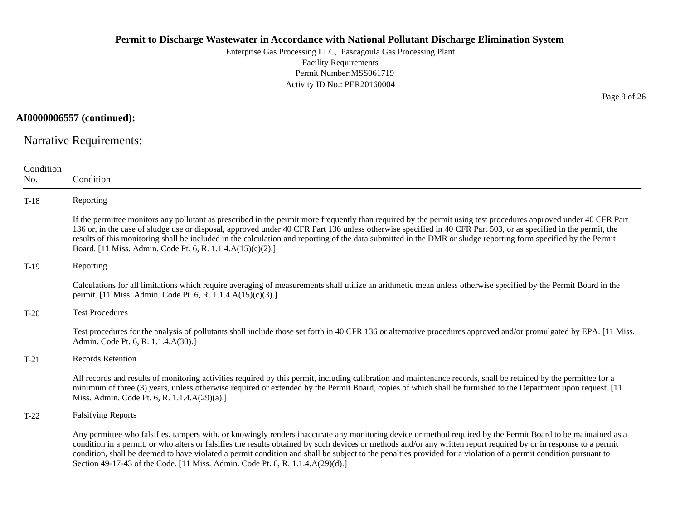Enterprise Gas Processing LLC, Pascagoula Gas Processing Plant Facility Requirements Permit Number:MSS061719 Activity ID No.: PER20160004

**AI0000006557 (continued):**

Narrative Requirements:

| Condition<br>No. | Condition                                                                                                                                                                                                                                                                                                                                                                                                                                                                                                                                                                                |
|------------------|------------------------------------------------------------------------------------------------------------------------------------------------------------------------------------------------------------------------------------------------------------------------------------------------------------------------------------------------------------------------------------------------------------------------------------------------------------------------------------------------------------------------------------------------------------------------------------------|
| $T-18$           | Reporting                                                                                                                                                                                                                                                                                                                                                                                                                                                                                                                                                                                |
|                  | If the permittee monitors any pollutant as prescribed in the permit more frequently than required by the permit using test procedures approved under 40 CFR Part<br>136 or, in the case of sludge use or disposal, approved under 40 CFR Part 136 unless otherwise specified in 40 CFR Part 503, or as specified in the permit, the<br>results of this monitoring shall be included in the calculation and reporting of the data submitted in the DMR or sludge reporting form specified by the Permit<br>Board. [11 Miss. Admin. Code Pt. 6, R. 1.1.4.A(15)(c)(2).]                     |
| $T-19$           | Reporting                                                                                                                                                                                                                                                                                                                                                                                                                                                                                                                                                                                |
|                  | Calculations for all limitations which require averaging of measurements shall utilize an arithmetic mean unless otherwise specified by the Permit Board in the<br>permit. [11 Miss. Admin. Code Pt. 6, R. 1.1.4.A(15)(c)(3).]                                                                                                                                                                                                                                                                                                                                                           |
| $T-20$           | <b>Test Procedures</b>                                                                                                                                                                                                                                                                                                                                                                                                                                                                                                                                                                   |
|                  | Test procedures for the analysis of pollutants shall include those set forth in 40 CFR 136 or alternative procedures approved and/or promulgated by EPA. [11 Miss.<br>Admin. Code Pt. 6, R. 1.1.4.A(30).]                                                                                                                                                                                                                                                                                                                                                                                |
| $T-21$           | <b>Records Retention</b>                                                                                                                                                                                                                                                                                                                                                                                                                                                                                                                                                                 |
|                  | All records and results of monitoring activities required by this permit, including calibration and maintenance records, shall be retained by the permittee for a<br>minimum of three (3) years, unless otherwise required or extended by the Permit Board, copies of which shall be furnished to the Department upon request. [11]<br>Miss. Admin. Code Pt. 6, R. 1.1.4.A(29)(a).]                                                                                                                                                                                                      |
| $T-22$           | <b>Falsifying Reports</b>                                                                                                                                                                                                                                                                                                                                                                                                                                                                                                                                                                |
|                  | Any permittee who falsifies, tampers with, or knowingly renders inaccurate any monitoring device or method required by the Permit Board to be maintained as a<br>condition in a permit, or who alters or falsifies the results obtained by such devices or methods and/or any written report required by or in response to a permit<br>condition, shall be deemed to have violated a permit condition and shall be subject to the penalties provided for a violation of a permit condition pursuant to<br>Section 49-17-43 of the Code. [11 Miss. Admin. Code Pt. 6, R. 1.1.4.A(29)(d).] |

Page 9 of 26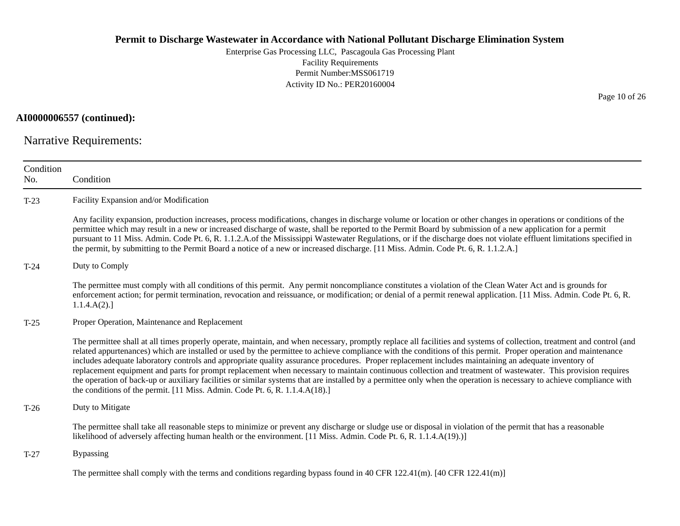Enterprise Gas Processing LLC, Pascagoula Gas Processing Plant Facility Requirements Permit Number:MSS061719 Activity ID No.: PER20160004

### **AI0000006557 (continued):**

Narrative Requirements:

| Condition<br>No. | Condition                                                                                                                                                                                                                                                                                                                                                                                                                                                                                                                                                                                                                                                                                                                                                                                                                                                                                                                |
|------------------|--------------------------------------------------------------------------------------------------------------------------------------------------------------------------------------------------------------------------------------------------------------------------------------------------------------------------------------------------------------------------------------------------------------------------------------------------------------------------------------------------------------------------------------------------------------------------------------------------------------------------------------------------------------------------------------------------------------------------------------------------------------------------------------------------------------------------------------------------------------------------------------------------------------------------|
| $T-23$           | Facility Expansion and/or Modification                                                                                                                                                                                                                                                                                                                                                                                                                                                                                                                                                                                                                                                                                                                                                                                                                                                                                   |
|                  | Any facility expansion, production increases, process modifications, changes in discharge volume or location or other changes in operations or conditions of the<br>permittee which may result in a new or increased discharge of waste, shall be reported to the Permit Board by submission of a new application for a permit<br>pursuant to 11 Miss. Admin. Code Pt. 6, R. 1.1.2.A.of the Mississippi Wastewater Regulations, or if the discharge does not violate effluent limitations specified in<br>the permit, by submitting to the Permit Board a notice of a new or increased discharge. [11 Miss. Admin. Code Pt. 6, R. 1.1.2.A.]                                                                                                                                                                                                                                                                              |
| $T-24$           | Duty to Comply                                                                                                                                                                                                                                                                                                                                                                                                                                                                                                                                                                                                                                                                                                                                                                                                                                                                                                           |
|                  | The permittee must comply with all conditions of this permit. Any permit noncompliance constitutes a violation of the Clean Water Act and is grounds for<br>enforcement action; for permit termination, revocation and reissuance, or modification; or denial of a permit renewal application. [11 Miss. Admin. Code Pt. 6, R.<br>1.1.4.A(2).                                                                                                                                                                                                                                                                                                                                                                                                                                                                                                                                                                            |
| $T-25$           | Proper Operation, Maintenance and Replacement                                                                                                                                                                                                                                                                                                                                                                                                                                                                                                                                                                                                                                                                                                                                                                                                                                                                            |
|                  | The permittee shall at all times properly operate, maintain, and when necessary, promptly replace all facilities and systems of collection, treatment and control (and<br>related appurtenances) which are installed or used by the permittee to achieve compliance with the conditions of this permit. Proper operation and maintenance<br>includes adequate laboratory controls and appropriate quality assurance procedures. Proper replacement includes maintaining an adequate inventory of<br>replacement equipment and parts for prompt replacement when necessary to maintain continuous collection and treatment of wastewater. This provision requires<br>the operation of back-up or auxiliary facilities or similar systems that are installed by a permittee only when the operation is necessary to achieve compliance with<br>the conditions of the permit. [11 Miss. Admin. Code Pt. 6, R. 1.1.4.A(18).] |
| $T-26$           | Duty to Mitigate                                                                                                                                                                                                                                                                                                                                                                                                                                                                                                                                                                                                                                                                                                                                                                                                                                                                                                         |
|                  | The permittee shall take all reasonable steps to minimize or prevent any discharge or sludge use or disposal in violation of the permit that has a reasonable<br>likelihood of adversely affecting human health or the environment. [11 Miss. Admin. Code Pt. 6, R. 1.1.4.A(19).)]                                                                                                                                                                                                                                                                                                                                                                                                                                                                                                                                                                                                                                       |
| $T-27$           | <b>Bypassing</b>                                                                                                                                                                                                                                                                                                                                                                                                                                                                                                                                                                                                                                                                                                                                                                                                                                                                                                         |
|                  | The permittee shall comply with the terms and conditions regarding bypass found in 40 CFR 122.41(m). [40 CFR 122.41(m)]                                                                                                                                                                                                                                                                                                                                                                                                                                                                                                                                                                                                                                                                                                                                                                                                  |

Page 10 of 26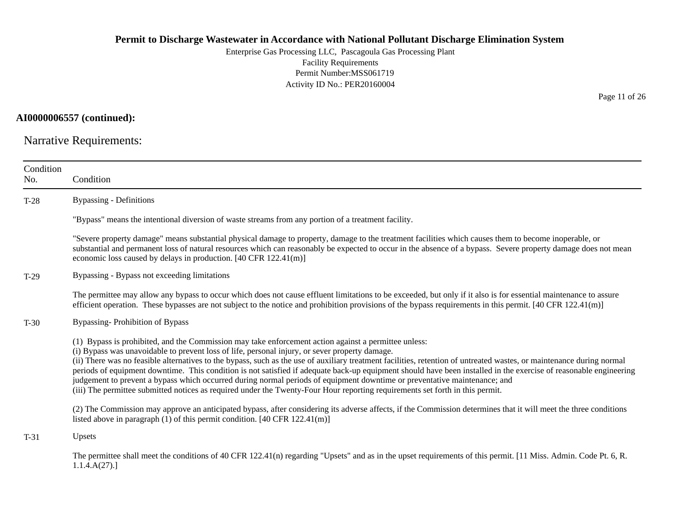Enterprise Gas Processing LLC, Pascagoula Gas Processing Plant Facility Requirements Permit Number:MSS061719 Activity ID No.: PER20160004

### **AI0000006557 (continued):**

Narrative Requirements:

| Condition<br>No. | Condition                                                                                                                                                                                                                                                                                                                                                                                                                                                                                                                                                                                                                                                                                                                                                                                                          |
|------------------|--------------------------------------------------------------------------------------------------------------------------------------------------------------------------------------------------------------------------------------------------------------------------------------------------------------------------------------------------------------------------------------------------------------------------------------------------------------------------------------------------------------------------------------------------------------------------------------------------------------------------------------------------------------------------------------------------------------------------------------------------------------------------------------------------------------------|
| $T-28$           | <b>Bypassing - Definitions</b>                                                                                                                                                                                                                                                                                                                                                                                                                                                                                                                                                                                                                                                                                                                                                                                     |
|                  | "Bypass" means the intentional diversion of waste streams from any portion of a treatment facility.                                                                                                                                                                                                                                                                                                                                                                                                                                                                                                                                                                                                                                                                                                                |
|                  | "Severe property damage" means substantial physical damage to property, damage to the treatment facilities which causes them to become inoperable, or<br>substantial and permanent loss of natural resources which can reasonably be expected to occur in the absence of a bypass. Severe property damage does not mean<br>economic loss caused by delays in production. [40 CFR 122.41(m)]                                                                                                                                                                                                                                                                                                                                                                                                                        |
| $T-29$           | Bypassing - Bypass not exceeding limitations                                                                                                                                                                                                                                                                                                                                                                                                                                                                                                                                                                                                                                                                                                                                                                       |
|                  | The permittee may allow any bypass to occur which does not cause effluent limitations to be exceeded, but only if it also is for essential maintenance to assure<br>efficient operation. These bypasses are not subject to the notice and prohibition provisions of the bypass requirements in this permit. [40 CFR 122.41(m)]                                                                                                                                                                                                                                                                                                                                                                                                                                                                                     |
| $T-30$           | <b>Bypassing-Prohibition of Bypass</b>                                                                                                                                                                                                                                                                                                                                                                                                                                                                                                                                                                                                                                                                                                                                                                             |
|                  | (1) Bypass is prohibited, and the Commission may take enforcement action against a permittee unless:<br>(i) Bypass was unavoidable to prevent loss of life, personal injury, or sever property damage.<br>(ii) There was no feasible alternatives to the bypass, such as the use of auxiliary treatment facilities, retention of untreated wastes, or maintenance during normal<br>periods of equipment downtime. This condition is not satisfied if adequate back-up equipment should have been installed in the exercise of reasonable engineering<br>judgement to prevent a bypass which occurred during normal periods of equipment downtime or preventative maintenance; and<br>(iii) The permittee submitted notices as required under the Twenty-Four Hour reporting requirements set forth in this permit. |
|                  | (2) The Commission may approve an anticipated bypass, after considering its adverse affects, if the Commission determines that it will meet the three conditions<br>listed above in paragraph (1) of this permit condition. [40 CFR 122.41(m)]                                                                                                                                                                                                                                                                                                                                                                                                                                                                                                                                                                     |
| $T-31$           | Upsets                                                                                                                                                                                                                                                                                                                                                                                                                                                                                                                                                                                                                                                                                                                                                                                                             |
|                  | The permittee shall meet the conditions of 40 CFR 122.41(n) regarding "Upsets" and as in the upset requirements of this permit. [11 Miss. Admin. Code Pt. 6, R.<br>1.1.4.A(27).                                                                                                                                                                                                                                                                                                                                                                                                                                                                                                                                                                                                                                    |

Page 11 of 26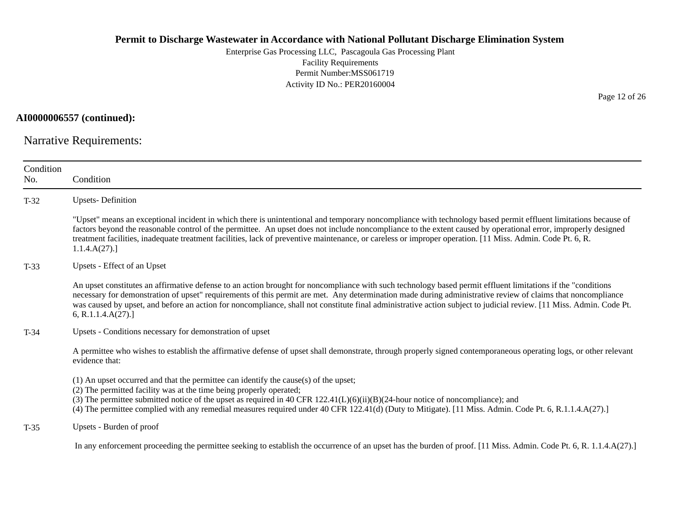Enterprise Gas Processing LLC, Pascagoula Gas Processing Plant Facility Requirements Permit Number:MSS061719 Activity ID No.: PER20160004

**AI0000006557 (continued):**

Narrative Requirements:

| Condition<br>No. | Condition                                                                                                                                                                                                                                                                                                                                                                                                                                                                                                                     |
|------------------|-------------------------------------------------------------------------------------------------------------------------------------------------------------------------------------------------------------------------------------------------------------------------------------------------------------------------------------------------------------------------------------------------------------------------------------------------------------------------------------------------------------------------------|
| $T-32$           | <b>Upsets-Definition</b>                                                                                                                                                                                                                                                                                                                                                                                                                                                                                                      |
|                  | "Upset" means an exceptional incident in which there is unintentional and temporary noncompliance with technology based permit effluent limitations because of<br>factors beyond the reasonable control of the permittee. An upset does not include noncompliance to the extent caused by operational error, improperly designed<br>treatment facilities, inadequate treatment facilities, lack of preventive maintenance, or careless or improper operation. [11 Miss. Admin. Code Pt. 6, R.<br>1.1.4.A(27).                 |
| $T-33$           | Upsets - Effect of an Upset                                                                                                                                                                                                                                                                                                                                                                                                                                                                                                   |
|                  | An upset constitutes an affirmative defense to an action brought for noncompliance with such technology based permit effluent limitations if the "conditions"<br>necessary for demonstration of upset" requirements of this permit are met. Any determination made during administrative review of claims that noncompliance<br>was caused by upset, and before an action for noncompliance, shall not constitute final administrative action subject to judicial review. [11 Miss. Admin. Code Pt.<br>6, R.1.1.4. $A(27)$ .] |
| $T-34$           | Upsets - Conditions necessary for demonstration of upset                                                                                                                                                                                                                                                                                                                                                                                                                                                                      |
|                  | A permittee who wishes to establish the affirmative defense of upset shall demonstrate, through properly signed contemporaneous operating logs, or other relevant<br>evidence that:                                                                                                                                                                                                                                                                                                                                           |
|                  | (1) An upset occurred and that the permittee can identify the cause(s) of the upset;<br>(2) The permitted facility was at the time being properly operated;<br>(3) The permittee submitted notice of the upset as required in 40 CFR $122.41(L)(6)(ii)(B)(24-hour notice of noncompliance)$ ; and<br>(4) The permittee complied with any remedial measures required under 40 CFR 122.41(d) (Duty to Mitigate). [11 Miss. Admin. Code Pt. 6, R.1.1.4.A(27).]                                                                   |
| $T-35$           | Upsets - Burden of proof                                                                                                                                                                                                                                                                                                                                                                                                                                                                                                      |
|                  | In any enforcement proceeding the permittee seeking to establish the occurrence of an upset has the burden of proof. [11 Miss. Admin. Code Pt. 6, R. 1.1.4.A(27).]                                                                                                                                                                                                                                                                                                                                                            |

Page 12 of 26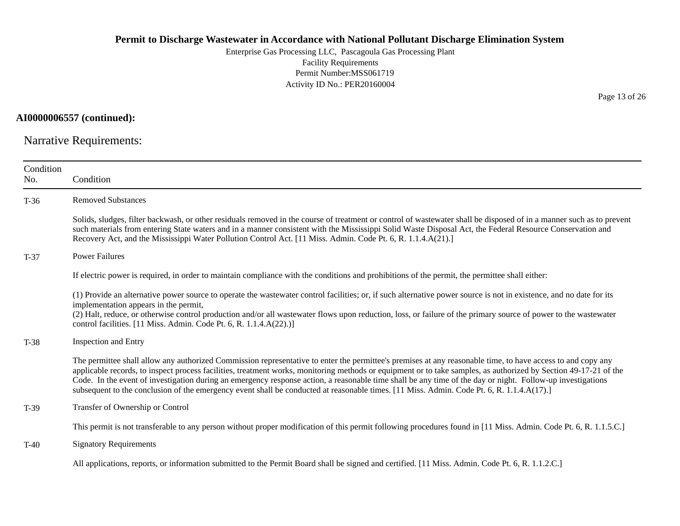Enterprise Gas Processing LLC, Pascagoula Gas Processing Plant Facility Requirements Permit Number:MSS061719 Activity ID No.: PER20160004

### **AI0000006557 (continued):**

Narrative Requirements:

| Condition<br>No. | Condition                                                                                                                                                                                                                                                                                                                                                                                                                                                                                                                                                                                                                                  |
|------------------|--------------------------------------------------------------------------------------------------------------------------------------------------------------------------------------------------------------------------------------------------------------------------------------------------------------------------------------------------------------------------------------------------------------------------------------------------------------------------------------------------------------------------------------------------------------------------------------------------------------------------------------------|
| $T-36$           | <b>Removed Substances</b>                                                                                                                                                                                                                                                                                                                                                                                                                                                                                                                                                                                                                  |
|                  | Solids, sludges, filter backwash, or other residuals removed in the course of treatment or control of wastewater shall be disposed of in a manner such as to prevent<br>such materials from entering State waters and in a manner consistent with the Mississippi Solid Waste Disposal Act, the Federal Resource Conservation and<br>Recovery Act, and the Mississippi Water Pollution Control Act. [11 Miss. Admin. Code Pt. 6, R. 1.1.4.A(21).]                                                                                                                                                                                          |
| $T-37$           | <b>Power Failures</b>                                                                                                                                                                                                                                                                                                                                                                                                                                                                                                                                                                                                                      |
|                  | If electric power is required, in order to maintain compliance with the conditions and prohibitions of the permit, the permittee shall either:                                                                                                                                                                                                                                                                                                                                                                                                                                                                                             |
|                  | (1) Provide an alternative power source to operate the wastewater control facilities; or, if such alternative power source is not in existence, and no date for its<br>implementation appears in the permit,<br>(2) Halt, reduce, or otherwise control production and/or all wastewater flows upon reduction, loss, or failure of the primary source of power to the wastewater<br>control facilities. [11 Miss. Admin. Code Pt. 6, R. 1.1.4.A(22).)]                                                                                                                                                                                      |
| $T-38$           | Inspection and Entry                                                                                                                                                                                                                                                                                                                                                                                                                                                                                                                                                                                                                       |
|                  | The permittee shall allow any authorized Commission representative to enter the permittee's premises at any reasonable time, to have access to and copy any<br>applicable records, to inspect process facilities, treatment works, monitoring methods or equipment or to take samples, as authorized by Section 49-17-21 of the<br>Code. In the event of investigation during an emergency response action, a reasonable time shall be any time of the day or night. Follow-up investigations<br>subsequent to the conclusion of the emergency event shall be conducted at reasonable times. [11 Miss. Admin. Code Pt. 6, R. 1.1.4.A(17).] |
| $T-39$           | Transfer of Ownership or Control                                                                                                                                                                                                                                                                                                                                                                                                                                                                                                                                                                                                           |
|                  | This permit is not transferable to any person without proper modification of this permit following procedures found in [11 Miss. Admin. Code Pt. 6, R. 1.1.5.C.]                                                                                                                                                                                                                                                                                                                                                                                                                                                                           |
| $T-40$           | <b>Signatory Requirements</b>                                                                                                                                                                                                                                                                                                                                                                                                                                                                                                                                                                                                              |
|                  | All applications, reports, or information submitted to the Permit Board shall be signed and certified. [11 Miss. Admin. Code Pt. 6, R. 1.1.2.C.]                                                                                                                                                                                                                                                                                                                                                                                                                                                                                           |

Page 13 of 26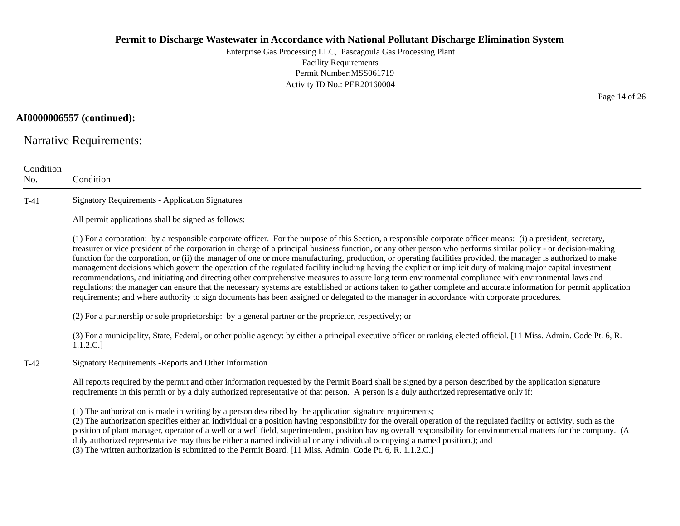Enterprise Gas Processing LLC, Pascagoula Gas Processing Plant Facility Requirements Permit Number:MSS061719 Activity ID No.: PER20160004

**AI0000006557 (continued):**

Narrative Requirements:

| Condition<br>No. | Condition                                                                                                                                                                                                                                                                                                                                                                                                                                                                                                                                                                                                                                                                                                                                                                                                                                                                                                                                                                                                                                                                                                                                      |
|------------------|------------------------------------------------------------------------------------------------------------------------------------------------------------------------------------------------------------------------------------------------------------------------------------------------------------------------------------------------------------------------------------------------------------------------------------------------------------------------------------------------------------------------------------------------------------------------------------------------------------------------------------------------------------------------------------------------------------------------------------------------------------------------------------------------------------------------------------------------------------------------------------------------------------------------------------------------------------------------------------------------------------------------------------------------------------------------------------------------------------------------------------------------|
| $T-41$           | <b>Signatory Requirements - Application Signatures</b>                                                                                                                                                                                                                                                                                                                                                                                                                                                                                                                                                                                                                                                                                                                                                                                                                                                                                                                                                                                                                                                                                         |
|                  | All permit applications shall be signed as follows:                                                                                                                                                                                                                                                                                                                                                                                                                                                                                                                                                                                                                                                                                                                                                                                                                                                                                                                                                                                                                                                                                            |
|                  | (1) For a corporation: by a responsible corporate officer. For the purpose of this Section, a responsible corporate officer means: (i) a president, secretary,<br>treasurer or vice president of the corporation in charge of a principal business function, or any other person who performs similar policy - or decision-making<br>function for the corporation, or (ii) the manager of one or more manufacturing, production, or operating facilities provided, the manager is authorized to make<br>management decisions which govern the operation of the regulated facility including having the explicit or implicit duty of making major capital investment<br>recommendations, and initiating and directing other comprehensive measures to assure long term environmental compliance with environmental laws and<br>regulations; the manager can ensure that the necessary systems are established or actions taken to gather complete and accurate information for permit application<br>requirements; and where authority to sign documents has been assigned or delegated to the manager in accordance with corporate procedures. |
|                  | (2) For a partnership or sole proprietorship: by a general partner or the proprietor, respectively; or                                                                                                                                                                                                                                                                                                                                                                                                                                                                                                                                                                                                                                                                                                                                                                                                                                                                                                                                                                                                                                         |
|                  | (3) For a municipality, State, Federal, or other public agency: by either a principal executive officer or ranking elected official. [11 Miss. Admin. Code Pt. 6, R.<br>1.1.2.C.]                                                                                                                                                                                                                                                                                                                                                                                                                                                                                                                                                                                                                                                                                                                                                                                                                                                                                                                                                              |
| $T-42$           | Signatory Requirements - Reports and Other Information                                                                                                                                                                                                                                                                                                                                                                                                                                                                                                                                                                                                                                                                                                                                                                                                                                                                                                                                                                                                                                                                                         |
|                  | All reports required by the permit and other information requested by the Permit Board shall be signed by a person described by the application signature<br>requirements in this permit or by a duly authorized representative of that person. A person is a duly authorized representative only if:                                                                                                                                                                                                                                                                                                                                                                                                                                                                                                                                                                                                                                                                                                                                                                                                                                          |
|                  | (1) The authorization is made in writing by a person described by the application signature requirements;<br>(2) The authorization specifies either an individual or a position having responsibility for the overall operation of the regulated facility or activity, such as the<br>position of plant manager, operator of a well or a well field, superintendent, position having overall responsibility for environmental matters for the company. (A<br>duly authorized representative may thus be either a named individual or any individual occupying a named position.); and<br>(3) The written authorization is submitted to the Permit Board. [11 Miss. Admin. Code Pt. 6, R. 1.1.2.C.]                                                                                                                                                                                                                                                                                                                                                                                                                                             |

Page 14 of 26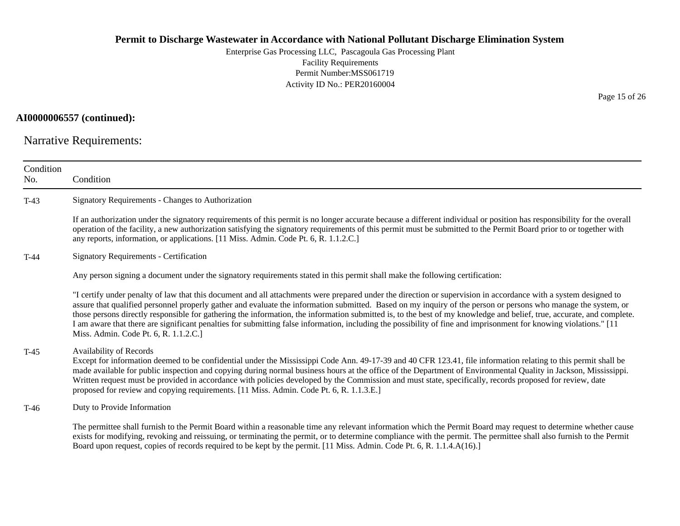Enterprise Gas Processing LLC, Pascagoula Gas Processing Plant Facility Requirements Permit Number:MSS061719 Activity ID No.: PER20160004

### **AI0000006557 (continued):**

Narrative Requirements:

| Condition<br>No. | Condition                                                                                                                                                                                                                                                                                                                                                                                                                                                                                                                                                                                                                                                                                                                |
|------------------|--------------------------------------------------------------------------------------------------------------------------------------------------------------------------------------------------------------------------------------------------------------------------------------------------------------------------------------------------------------------------------------------------------------------------------------------------------------------------------------------------------------------------------------------------------------------------------------------------------------------------------------------------------------------------------------------------------------------------|
| $T-43$           | Signatory Requirements - Changes to Authorization                                                                                                                                                                                                                                                                                                                                                                                                                                                                                                                                                                                                                                                                        |
|                  | If an authorization under the signatory requirements of this permit is no longer accurate because a different individual or position has responsibility for the overall<br>operation of the facility, a new authorization satisfying the signatory requirements of this permit must be submitted to the Permit Board prior to or together with<br>any reports, information, or applications. [11 Miss. Admin. Code Pt. 6, R. 1.1.2.C.]                                                                                                                                                                                                                                                                                   |
| $T-44$           | <b>Signatory Requirements - Certification</b>                                                                                                                                                                                                                                                                                                                                                                                                                                                                                                                                                                                                                                                                            |
|                  | Any person signing a document under the signatory requirements stated in this permit shall make the following certification:                                                                                                                                                                                                                                                                                                                                                                                                                                                                                                                                                                                             |
|                  | "I certify under penalty of law that this document and all attachments were prepared under the direction or supervision in accordance with a system designed to<br>assure that qualified personnel properly gather and evaluate the information submitted. Based on my inquiry of the person or persons who manage the system, or<br>those persons directly responsible for gathering the information, the information submitted is, to the best of my knowledge and belief, true, accurate, and complete.<br>I am aware that there are significant penalties for submitting false information, including the possibility of fine and imprisonment for knowing violations." [11<br>Miss. Admin. Code Pt. 6, R. 1.1.2.C.] |
| $T-45$           | Availability of Records<br>Except for information deemed to be confidential under the Mississippi Code Ann. 49-17-39 and 40 CFR 123.41, file information relating to this permit shall be<br>made available for public inspection and copying during normal business hours at the office of the Department of Environmental Quality in Jackson, Mississippi.<br>Written request must be provided in accordance with policies developed by the Commission and must state, specifically, records proposed for review, date<br>proposed for review and copying requirements. [11 Miss. Admin. Code Pt. 6, R. 1.1.3.E.]                                                                                                      |
| $T-46$           | Duty to Provide Information                                                                                                                                                                                                                                                                                                                                                                                                                                                                                                                                                                                                                                                                                              |
|                  | The permittee shall furnish to the Permit Board within a reasonable time any relevant information which the Permit Board may request to determine whether cause<br>exists for modifying, revoking and reissuing, or terminating the permit, or to determine compliance with the permit. The permittee shall also furnish to the Permit<br>Board upon request, copies of records required to be kept by the permit. [11 Miss. Admin. Code Pt. 6, R. 1.1.4.A(16).]                                                                                                                                                                                                                                                         |

Page 15 of 26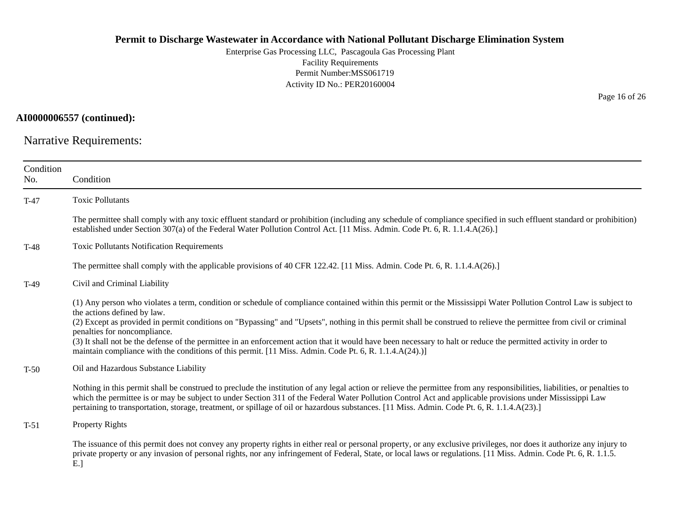Enterprise Gas Processing LLC, Pascagoula Gas Processing Plant Facility Requirements Permit Number:MSS061719 Activity ID No.: PER20160004

### **AI0000006557 (continued):**

Narrative Requirements:

| Condition<br>No. | Condition                                                                                                                                                                                                                                                                                                                                                                                                                                                                                                                                                                                                                                                                            |
|------------------|--------------------------------------------------------------------------------------------------------------------------------------------------------------------------------------------------------------------------------------------------------------------------------------------------------------------------------------------------------------------------------------------------------------------------------------------------------------------------------------------------------------------------------------------------------------------------------------------------------------------------------------------------------------------------------------|
| $T-47$           | <b>Toxic Pollutants</b>                                                                                                                                                                                                                                                                                                                                                                                                                                                                                                                                                                                                                                                              |
|                  | The permittee shall comply with any toxic effluent standard or prohibition (including any schedule of compliance specified in such effluent standard or prohibition)<br>established under Section 307(a) of the Federal Water Pollution Control Act. [11 Miss. Admin. Code Pt. 6, R. 1.1.4.A(26).]                                                                                                                                                                                                                                                                                                                                                                                   |
| $T-48$           | <b>Toxic Pollutants Notification Requirements</b>                                                                                                                                                                                                                                                                                                                                                                                                                                                                                                                                                                                                                                    |
|                  | The permittee shall comply with the applicable provisions of 40 CFR 122.42. [11 Miss. Admin. Code Pt. 6, R. 1.1.4.A(26).]                                                                                                                                                                                                                                                                                                                                                                                                                                                                                                                                                            |
| $T-49$           | Civil and Criminal Liability                                                                                                                                                                                                                                                                                                                                                                                                                                                                                                                                                                                                                                                         |
|                  | (1) Any person who violates a term, condition or schedule of compliance contained within this permit or the Mississippi Water Pollution Control Law is subject to<br>the actions defined by law.<br>(2) Except as provided in permit conditions on "Bypassing" and "Upsets", nothing in this permit shall be construed to relieve the permittee from civil or criminal<br>penalties for noncompliance.<br>(3) It shall not be the defense of the permittee in an enforcement action that it would have been necessary to halt or reduce the permitted activity in order to<br>maintain compliance with the conditions of this permit. [11 Miss. Admin. Code Pt. 6, R. 1.1.4.A(24).)] |
| $T-50$           | Oil and Hazardous Substance Liability                                                                                                                                                                                                                                                                                                                                                                                                                                                                                                                                                                                                                                                |
|                  | Nothing in this permit shall be construed to preclude the institution of any legal action or relieve the permittee from any responsibilities, liabilities, or penalties to<br>which the permittee is or may be subject to under Section 311 of the Federal Water Pollution Control Act and applicable provisions under Mississippi Law<br>pertaining to transportation, storage, treatment, or spillage of oil or hazardous substances. [11 Miss. Admin. Code Pt. 6, R. 1.1.4.A(23).]                                                                                                                                                                                                |
| $T-51$           | Property Rights                                                                                                                                                                                                                                                                                                                                                                                                                                                                                                                                                                                                                                                                      |
|                  | The issuance of this permit does not convey any property rights in either real or personal property, or any exclusive privileges, nor does it authorize any injury to<br>private property or any invasion of personal rights, nor any infringement of Federal, State, or local laws or regulations. [11 Miss. Admin. Code Pt. 6, R. 1.1.5.<br>E.                                                                                                                                                                                                                                                                                                                                     |

Page 16 of 26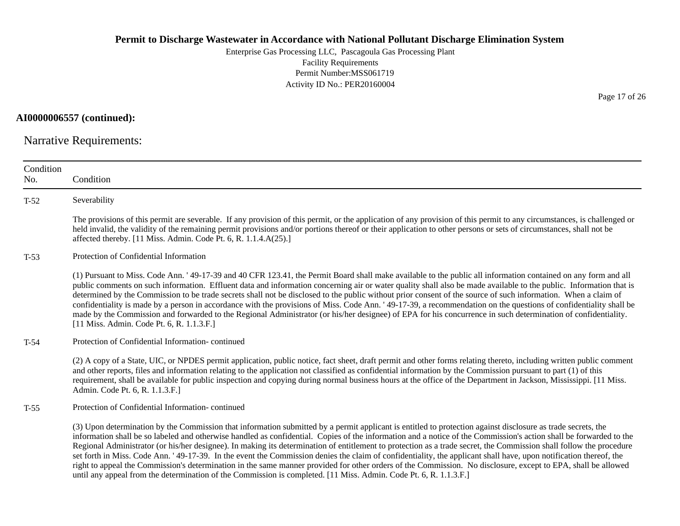Enterprise Gas Processing LLC, Pascagoula Gas Processing Plant Facility Requirements Permit Number:MSS061719 Activity ID No.: PER20160004

**AI0000006557 (continued):**

Narrative Requirements:

| Condition<br>No. | Condition                                                                                                                                                                                                                                                                                                                                                                                                                                                                                                                                                                                                                                                                                                                                                                                                                                                                                                                                                            |
|------------------|----------------------------------------------------------------------------------------------------------------------------------------------------------------------------------------------------------------------------------------------------------------------------------------------------------------------------------------------------------------------------------------------------------------------------------------------------------------------------------------------------------------------------------------------------------------------------------------------------------------------------------------------------------------------------------------------------------------------------------------------------------------------------------------------------------------------------------------------------------------------------------------------------------------------------------------------------------------------|
| $T-52$           | Severability                                                                                                                                                                                                                                                                                                                                                                                                                                                                                                                                                                                                                                                                                                                                                                                                                                                                                                                                                         |
|                  | The provisions of this permit are severable. If any provision of this permit, or the application of any provision of this permit to any circumstances, is challenged or<br>held invalid, the validity of the remaining permit provisions and/or portions thereof or their application to other persons or sets of circumstances, shall not be<br>affected thereby. [11 Miss. Admin. Code Pt. 6, R. 1.1.4.A(25).]                                                                                                                                                                                                                                                                                                                                                                                                                                                                                                                                                     |
| $T-53$           | Protection of Confidential Information                                                                                                                                                                                                                                                                                                                                                                                                                                                                                                                                                                                                                                                                                                                                                                                                                                                                                                                               |
|                  | (1) Pursuant to Miss. Code Ann. '49-17-39 and 40 CFR 123.41, the Permit Board shall make available to the public all information contained on any form and all<br>public comments on such information. Effluent data and information concerning air or water quality shall also be made available to the public. Information that is<br>determined by the Commission to be trade secrets shall not be disclosed to the public without prior consent of the source of such information. When a claim of<br>confidentiality is made by a person in accordance with the provisions of Miss. Code Ann. '49-17-39, a recommendation on the questions of confidentiality shall be<br>made by the Commission and forwarded to the Regional Administrator (or his/her designee) of EPA for his concurrence in such determination of confidentiality.<br>[11 Miss. Admin. Code Pt. 6, R. 1.1.3.F.]                                                                            |
| $T-54$           | Protection of Confidential Information-continued                                                                                                                                                                                                                                                                                                                                                                                                                                                                                                                                                                                                                                                                                                                                                                                                                                                                                                                     |
|                  | (2) A copy of a State, UIC, or NPDES permit application, public notice, fact sheet, draft permit and other forms relating thereto, including written public comment<br>and other reports, files and information relating to the application not classified as confidential information by the Commission pursuant to part (1) of this<br>requirement, shall be available for public inspection and copying during normal business hours at the office of the Department in Jackson, Mississippi. [11 Miss.<br>Admin. Code Pt. 6, R. 1.1.3.F.]                                                                                                                                                                                                                                                                                                                                                                                                                        |
| $T-55$           | Protection of Confidential Information-continued                                                                                                                                                                                                                                                                                                                                                                                                                                                                                                                                                                                                                                                                                                                                                                                                                                                                                                                     |
|                  | (3) Upon determination by the Commission that information submitted by a permit applicant is entitled to protection against disclosure as trade secrets, the<br>information shall be so labeled and otherwise handled as confidential. Copies of the information and a notice of the Commission's action shall be forwarded to the<br>Regional Administrator (or his/her designee). In making its determination of entitlement to protection as a trade secret, the Commission shall follow the procedure<br>set forth in Miss. Code Ann. '49-17-39. In the event the Commission denies the claim of confidentiality, the applicant shall have, upon notification thereof, the<br>right to appeal the Commission's determination in the same manner provided for other orders of the Commission. No disclosure, except to EPA, shall be allowed<br>until any appeal from the determination of the Commission is completed. [11 Miss. Admin. Code Pt. 6, R. 1.1.3.F.] |

Page 17 of 26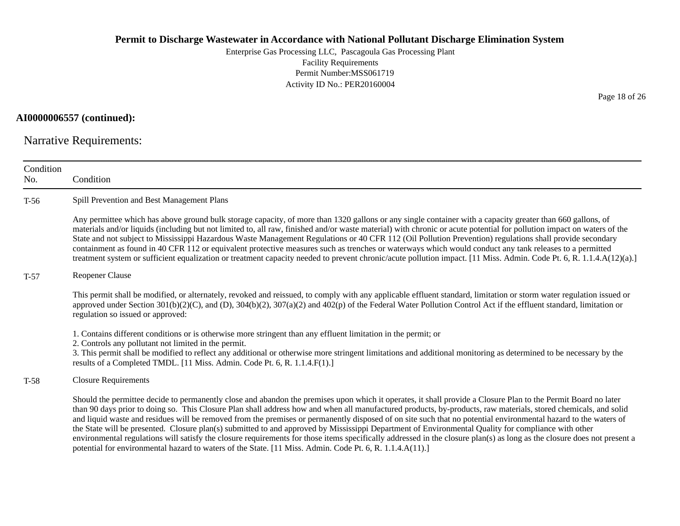Enterprise Gas Processing LLC, Pascagoula Gas Processing Plant Facility Requirements Permit Number:MSS061719 Activity ID No.: PER20160004

### **AI0000006557 (continued):**

Narrative Requirements:

| Condition<br>No. | Condition                                                                                                                                                                                                                                                                                                                                                                                                                                                                                                                                                                                                                                                                                                                                                                                                                                                                                                                                          |
|------------------|----------------------------------------------------------------------------------------------------------------------------------------------------------------------------------------------------------------------------------------------------------------------------------------------------------------------------------------------------------------------------------------------------------------------------------------------------------------------------------------------------------------------------------------------------------------------------------------------------------------------------------------------------------------------------------------------------------------------------------------------------------------------------------------------------------------------------------------------------------------------------------------------------------------------------------------------------|
| $T-56$           | Spill Prevention and Best Management Plans                                                                                                                                                                                                                                                                                                                                                                                                                                                                                                                                                                                                                                                                                                                                                                                                                                                                                                         |
|                  | Any permittee which has above ground bulk storage capacity, of more than 1320 gallons or any single container with a capacity greater than 660 gallons, of<br>materials and/or liquids (including but not limited to, all raw, finished and/or waste material) with chronic or acute potential for pollution impact on waters of the<br>State and not subject to Mississippi Hazardous Waste Management Regulations or 40 CFR 112 (Oil Pollution Prevention) regulations shall provide secondary<br>containment as found in 40 CFR 112 or equivalent protective measures such as trenches or waterways which would conduct any tank releases to a permitted<br>treatment system or sufficient equalization or treatment capacity needed to prevent chronic/acute pollution impact. [11 Miss. Admin. Code Pt. 6, R. 1.1.4.A(12)(a).]                                                                                                                |
| $T-57$           | Reopener Clause                                                                                                                                                                                                                                                                                                                                                                                                                                                                                                                                                                                                                                                                                                                                                                                                                                                                                                                                    |
|                  | This permit shall be modified, or alternately, revoked and reissued, to comply with any applicable effluent standard, limitation or storm water regulation issued or<br>approved under Section $301(b)(2)(C)$ , and (D), $304(b)(2)$ , $307(a)(2)$ and $402(p)$ of the Federal Water Pollution Control Act if the effluent standard, limitation or<br>regulation so issued or approved:                                                                                                                                                                                                                                                                                                                                                                                                                                                                                                                                                            |
|                  | 1. Contains different conditions or is otherwise more stringent than any effluent limitation in the permit; or<br>2. Controls any pollutant not limited in the permit.<br>3. This permit shall be modified to reflect any additional or otherwise more stringent limitations and additional monitoring as determined to be necessary by the<br>results of a Completed TMDL. [11 Miss. Admin. Code Pt. 6, R. 1.1.4.F(1).]                                                                                                                                                                                                                                                                                                                                                                                                                                                                                                                           |
| $T-58$           | <b>Closure Requirements</b>                                                                                                                                                                                                                                                                                                                                                                                                                                                                                                                                                                                                                                                                                                                                                                                                                                                                                                                        |
|                  | Should the permittee decide to permanently close and abandon the premises upon which it operates, it shall provide a Closure Plan to the Permit Board no later<br>than 90 days prior to doing so. This Closure Plan shall address how and when all manufactured products, by-products, raw materials, stored chemicals, and solid<br>and liquid waste and residues will be removed from the premises or permanently disposed of on site such that no potential environmental hazard to the waters of<br>the State will be presented. Closure plan(s) submitted to and approved by Mississippi Department of Environmental Quality for compliance with other<br>environmental regulations will satisfy the closure requirements for those items specifically addressed in the closure plan(s) as long as the closure does not present a<br>potential for environmental hazard to waters of the State. [11 Miss. Admin. Code Pt. 6, R. 1.1.4.A(11).] |

Page 18 of 26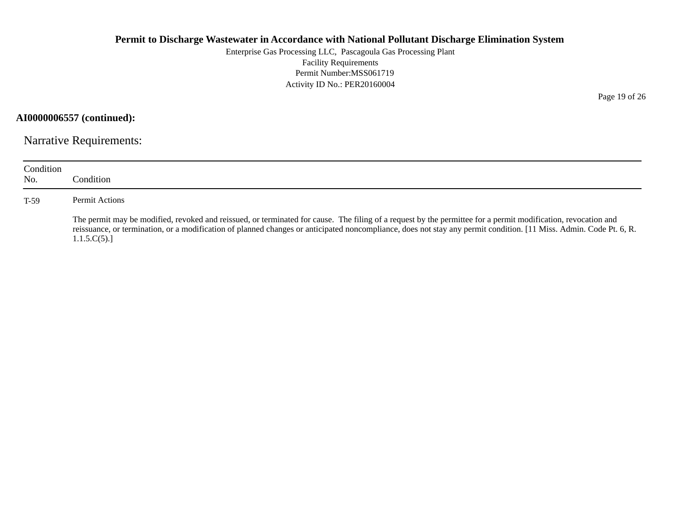Enterprise Gas Processing LLC, Pascagoula Gas Processing Plant Facility Requirements Permit Number:MSS061719 Activity ID No.: PER20160004

**AI0000006557 (continued):**

Narrative Requirements:

| Condition<br>No. | Condition:                                                                                                                                                                                                                                                                                                                                         |
|------------------|----------------------------------------------------------------------------------------------------------------------------------------------------------------------------------------------------------------------------------------------------------------------------------------------------------------------------------------------------|
| $T-59$           | Permit Actions                                                                                                                                                                                                                                                                                                                                     |
|                  | The permit may be modified, revoked and reissued, or terminated for cause. The filing of a request by the permittee for a permit modification, revocation and<br>reissuance, or termination, or a modification of planned changes or anticipated noncompliance, does not stay any permit condition. [11 Miss. Admin. Code Pt. 6, R.<br>1.1.5.C(5). |

Page 19 of 26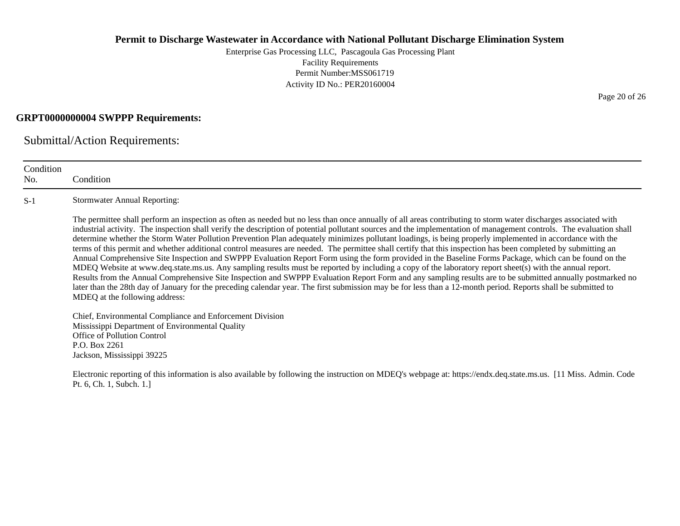Enterprise Gas Processing LLC, Pascagoula Gas Processing Plant Facility Requirements Permit Number:MSS061719 Activity ID No.: PER20160004

### **GRPT0000000004 SWPPP Requirements:**

Submittal/Action Requirements:

| Condition<br>No. | Condition                                                                                                                                                                                                                                                                                                                                                                                                                                                                                                                                                                                                                                                                                                                                                                                                                                                                                                                                                                                                                                                                                                                                                                                                                                                                                                                                                    |
|------------------|--------------------------------------------------------------------------------------------------------------------------------------------------------------------------------------------------------------------------------------------------------------------------------------------------------------------------------------------------------------------------------------------------------------------------------------------------------------------------------------------------------------------------------------------------------------------------------------------------------------------------------------------------------------------------------------------------------------------------------------------------------------------------------------------------------------------------------------------------------------------------------------------------------------------------------------------------------------------------------------------------------------------------------------------------------------------------------------------------------------------------------------------------------------------------------------------------------------------------------------------------------------------------------------------------------------------------------------------------------------|
| $S-1$            | <b>Stormwater Annual Reporting:</b>                                                                                                                                                                                                                                                                                                                                                                                                                                                                                                                                                                                                                                                                                                                                                                                                                                                                                                                                                                                                                                                                                                                                                                                                                                                                                                                          |
|                  | The permittee shall perform an inspection as often as needed but no less than once annually of all areas contributing to storm water discharges associated with<br>industrial activity. The inspection shall verify the description of potential pollutant sources and the implementation of management controls. The evaluation shall<br>determine whether the Storm Water Pollution Prevention Plan adequately minimizes pollutant loadings, is being properly implemented in accordance with the<br>terms of this permit and whether additional control measures are needed. The permittee shall certify that this inspection has been completed by submitting an<br>Annual Comprehensive Site Inspection and SWPPP Evaluation Report Form using the form provided in the Baseline Forms Package, which can be found on the<br>MDEQ Website at www.deq.state.ms.us. Any sampling results must be reported by including a copy of the laboratory report sheet(s) with the annual report.<br>Results from the Annual Comprehensive Site Inspection and SWPPP Evaluation Report Form and any sampling results are to be submitted annually postmarked no<br>later than the 28th day of January for the preceding calendar year. The first submission may be for less than a 12-month period. Reports shall be submitted to<br>MDEQ at the following address: |
|                  | Chief, Environmental Compliance and Enforcement Division<br>Mississippi Department of Environmental Quality<br>Office of Pollution Control<br>P.O. Box 2261<br>Jackson, Mississippi 39225                                                                                                                                                                                                                                                                                                                                                                                                                                                                                                                                                                                                                                                                                                                                                                                                                                                                                                                                                                                                                                                                                                                                                                    |
|                  | Electronic reporting of this information is also available by following the instruction on MDEQ's webpage at: https://endx.deq.state.ms.us. [11 Miss. Admin. Code<br>Pt. 6, Ch. 1, Subch. 1.]                                                                                                                                                                                                                                                                                                                                                                                                                                                                                                                                                                                                                                                                                                                                                                                                                                                                                                                                                                                                                                                                                                                                                                |

Page 20 of 26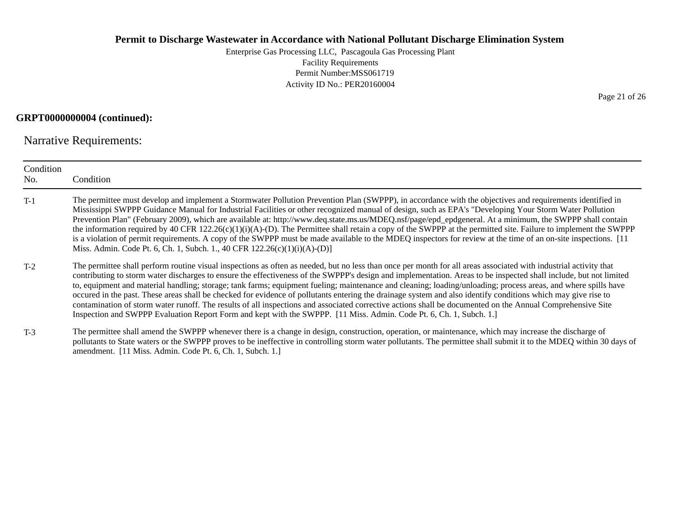Enterprise Gas Processing LLC, Pascagoula Gas Processing Plant Facility Requirements Permit Number:MSS061719 Activity ID No.: PER20160004

### **GRPT0000000004 (continued):**

Narrative Requirements:

| Condition<br>No. | Condition                                                                                                                                                                                                                                                                                                                                                                                                                                                                                                                                                                                                                                                                                                                                                                                                                                                                                                                                                      |
|------------------|----------------------------------------------------------------------------------------------------------------------------------------------------------------------------------------------------------------------------------------------------------------------------------------------------------------------------------------------------------------------------------------------------------------------------------------------------------------------------------------------------------------------------------------------------------------------------------------------------------------------------------------------------------------------------------------------------------------------------------------------------------------------------------------------------------------------------------------------------------------------------------------------------------------------------------------------------------------|
| $T-1$            | The permittee must develop and implement a Stormwater Pollution Prevention Plan (SWPPP), in accordance with the objectives and requirements identified in<br>Mississippi SWPPP Guidance Manual for Industrial Facilities or other recognized manual of design, such as EPA's "Developing Your Storm Water Pollution<br>Prevention Plan" (February 2009), which are available at: http://www.deq.state.ms.us/MDEQ.nsf/page/epd_epdgeneral. At a minimum, the SWPPP shall contain<br>the information required by 40 CFR $122.26(c)(1)(i)(A)-(D)$ . The Permittee shall retain a copy of the SWPPP at the permitted site. Failure to implement the SWPPP<br>is a violation of permit requirements. A copy of the SWPPP must be made available to the MDEQ inspectors for review at the time of an on-site inspections. [11]<br>Miss. Admin. Code Pt. 6, Ch. 1, Subch. 1., 40 CFR 122.26(c)(1)(i)(A)-(D)]                                                          |
| $T-2$            | The permittee shall perform routine visual inspections as often as needed, but no less than once per month for all areas associated with industrial activity that<br>contributing to storm water discharges to ensure the effectiveness of the SWPPP's design and implementation. Areas to be inspected shall include, but not limited<br>to, equipment and material handling; storage; tank farms; equipment fueling; maintenance and cleaning; loading/unloading; process areas, and where spills have<br>occured in the past. These areas shall be checked for evidence of pollutants entering the drainage system and also identify conditions which may give rise to<br>contamination of storm water runoff. The results of all inspections and associated corrective actions shall be documented on the Annual Comprehensive Site<br>Inspection and SWPPP Evaluation Report Form and kept with the SWPPP. [11 Miss. Admin. Code Pt. 6, Ch. 1, Subch. 1.] |
| $T-3$            | The permittee shall amend the SWPPP whenever there is a change in design, construction, operation, or maintenance, which may increase the discharge of<br>pollutants to State waters or the SWPPP proves to be ineffective in controlling storm water pollutants. The permittee shall submit it to the MDEQ within 30 days of                                                                                                                                                                                                                                                                                                                                                                                                                                                                                                                                                                                                                                  |

amendment. [11 Miss. Admin. Code Pt. 6, Ch. 1, Subch. 1.]

Page 21 of 26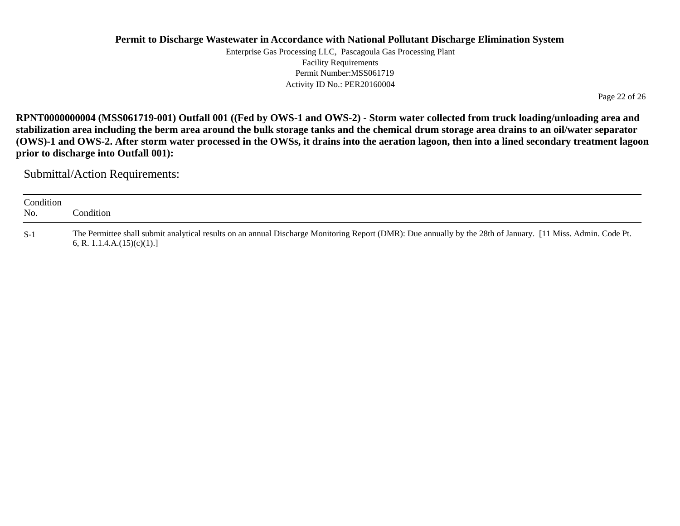Enterprise Gas Processing LLC, Pascagoula Gas Processing Plant Facility Requirements Permit Number:MSS061719 Activity ID No.: PER20160004

Page 22 of 26

**RPNT0000000004 (MSS061719-001) Outfall 001 ((Fed by OWS-1 and OWS-2) - Storm water collected from truck loading/unloading area and stabilization area including the berm area around the bulk storage tanks and the chemical drum storage area drains to an oil/water separator (OWS)-1 and OWS-2. After storm water processed in the OWSs, it drains into the aeration lagoon, then into a lined secondary treatment lagoon prior to discharge into Outfall 001):**

| Condition<br>No. | Condition                                                                                                                                                                                      |
|------------------|------------------------------------------------------------------------------------------------------------------------------------------------------------------------------------------------|
| $S-1$            | The Permittee shall submit analytical results on an annual Discharge Monitoring Report (DMR): Due annually by the 28th of January. [11 Miss. Admin. Code Pt.<br>6, R. 1.1.4.A. $(15)(c)(1)$ .] |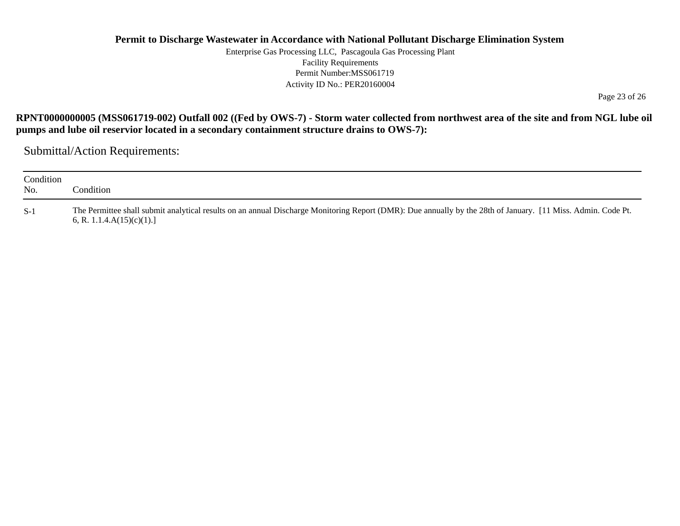Enterprise Gas Processing LLC, Pascagoula Gas Processing Plant Facility Requirements Permit Number:MSS061719Activity ID No.: PER20160004

Page 23 of 26

#### **RPNT0000000005 (MSS061719-002) Outfall 002 ((Fed by OWS-7) - Storm water collected from northwest area of the site and from NGL lube oil pumps and lube oil reservior located in a secondary containment structure drains to OWS-7):**

| Condition<br>No. | ondition'.                                                                                                                                                                                    |
|------------------|-----------------------------------------------------------------------------------------------------------------------------------------------------------------------------------------------|
| $S-1$            | The Permittee shall submit analytical results on an annual Discharge Monitoring Report (DMR): Due annually by the 28th of January. [11 Miss. Admin. Code Pt.<br>6, R. 1.1.4. $A(15)(c)(1)$ .] |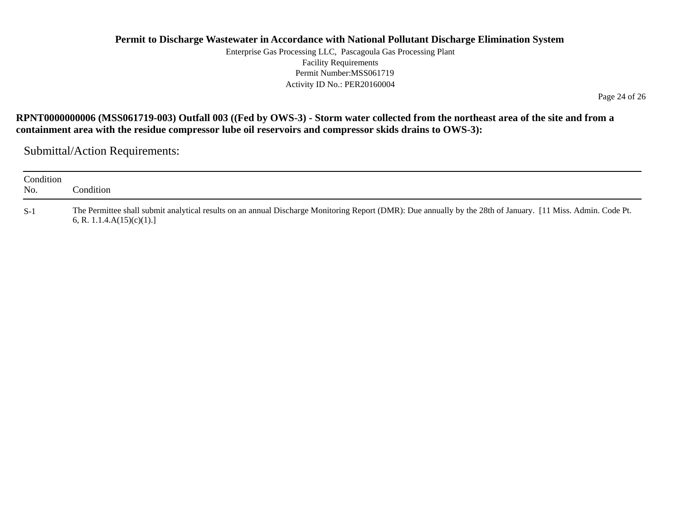Enterprise Gas Processing LLC, Pascagoula Gas Processing Plant Facility Requirements Permit Number:MSS061719 Activity ID No.: PER20160004

Page 24 of 26

#### **RPNT0000000006 (MSS061719-003) Outfall 003 ((Fed by OWS-3) - Storm water collected from the northeast area of the site and from a containment area with the residue compressor lube oil reservoirs and compressor skids drains to OWS-3):**

| Condition<br>No. | Condition:                                                                                                                                                                                    |
|------------------|-----------------------------------------------------------------------------------------------------------------------------------------------------------------------------------------------|
| $S-1$            | The Permittee shall submit analytical results on an annual Discharge Monitoring Report (DMR): Due annually by the 28th of January. [11 Miss. Admin. Code Pt.<br>6, R. 1.1.4. $A(15)(c)(1)$ .] |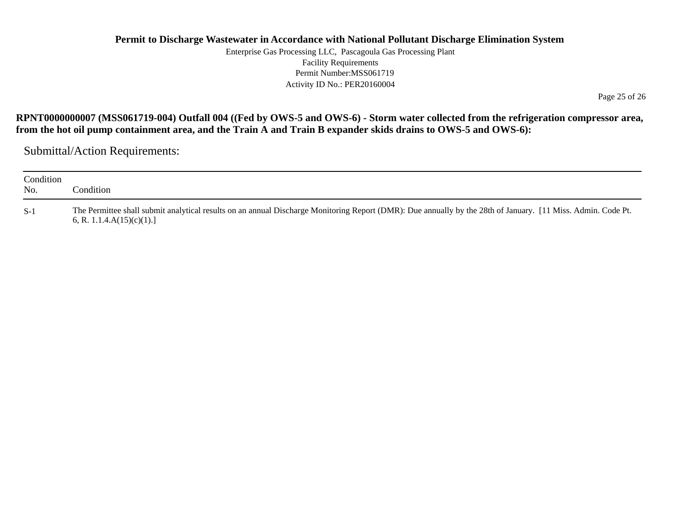Enterprise Gas Processing LLC, Pascagoula Gas Processing Plant Facility Requirements Permit Number:MSS061719 Activity ID No.: PER20160004

Page 25 of 26

#### **RPNT0000000007 (MSS061719-004) Outfall 004 ((Fed by OWS-5 and OWS-6) - Storm water collected from the refrigeration compressor area, from the hot oil pump containment area, and the Train A and Train B expander skids drains to OWS-5 and OWS-6):**

| Condition<br>No. | Condition:                                                                                                                                                                                    |
|------------------|-----------------------------------------------------------------------------------------------------------------------------------------------------------------------------------------------|
| $S-1$            | The Permittee shall submit analytical results on an annual Discharge Monitoring Report (DMR): Due annually by the 28th of January. [11 Miss. Admin. Code Pt.<br>6, R. 1.1.4. $A(15)(c)(1)$ .] |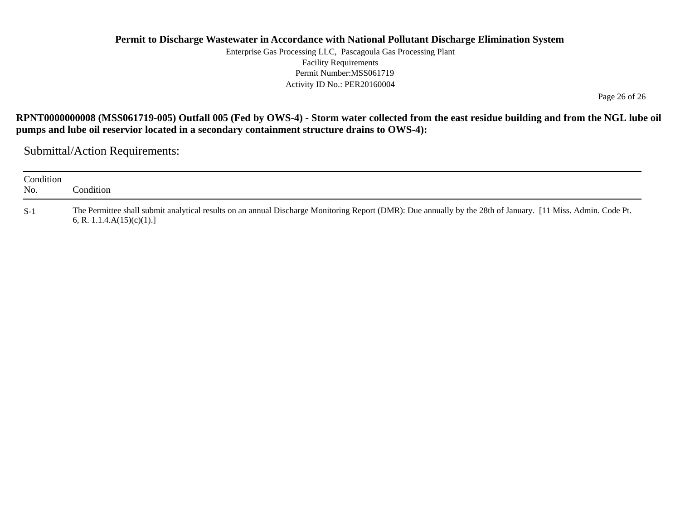Enterprise Gas Processing LLC, Pascagoula Gas Processing Plant Facility Requirements Permit Number:MSS061719 Activity ID No.: PER20160004

Page 26 of 26

**RPNT0000000008 (MSS061719-005) Outfall 005 (Fed by OWS-4) - Storm water collected from the east residue building and from the NGL lube oil pumps and lube oil reservior located in a secondary containment structure drains to OWS-4):**

| Condition<br>No. | Condition_                                                                                                                                                                                    |
|------------------|-----------------------------------------------------------------------------------------------------------------------------------------------------------------------------------------------|
| $S-1$            | The Permittee shall submit analytical results on an annual Discharge Monitoring Report (DMR): Due annually by the 28th of January. [11 Miss. Admin. Code Pt.<br>6, R. 1.1.4. $A(15)(c)(1)$ .] |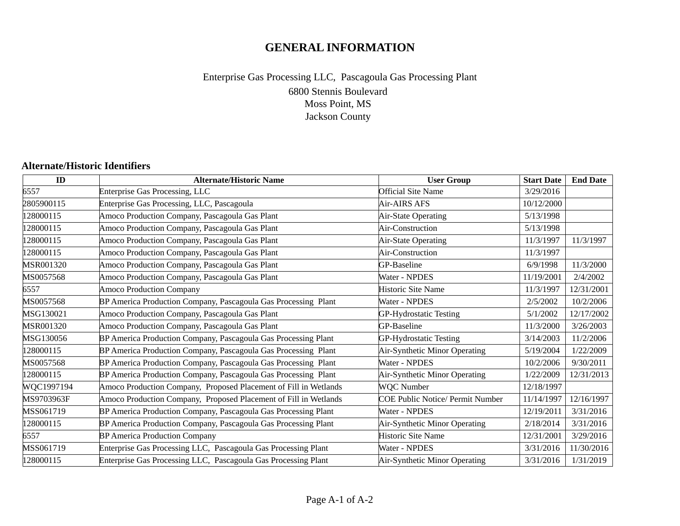# **GENERAL INFORMATION**

## 6800 Stennis Boulevard Moss Point, MS Jackson County Enterprise Gas Processing LLC, Pascagoula Gas Processing Plant

#### **Alternate/Historic Identifiers**

| ID         | <b>Alternate/Historic Name</b>                                   | <b>User Group</b>                       | <b>Start Date</b> | <b>End Date</b> |
|------------|------------------------------------------------------------------|-----------------------------------------|-------------------|-----------------|
| 6557       | <b>Enterprise Gas Processing, LLC</b>                            | <b>Official Site Name</b>               | 3/29/2016         |                 |
| 2805900115 | Enterprise Gas Processing, LLC, Pascagoula                       | Air-AIRS AFS                            | 10/12/2000        |                 |
| 128000115  | Amoco Production Company, Pascagoula Gas Plant                   | Air-State Operating                     | 5/13/1998         |                 |
| 128000115  | Amoco Production Company, Pascagoula Gas Plant                   | Air-Construction                        | 5/13/1998         |                 |
| 128000115  | Amoco Production Company, Pascagoula Gas Plant                   | Air-State Operating                     | 11/3/1997         | 11/3/1997       |
| 128000115  | Amoco Production Company, Pascagoula Gas Plant                   | Air-Construction                        | 11/3/1997         |                 |
| MSR001320  | Amoco Production Company, Pascagoula Gas Plant                   | GP-Baseline                             | 6/9/1998          | 11/3/2000       |
| MS0057568  | Amoco Production Company, Pascagoula Gas Plant                   | Water - NPDES                           | 11/19/2001        | 2/4/2002        |
| 6557       | Amoco Production Company                                         | Historic Site Name                      | 11/3/1997         | 12/31/2001      |
| MS0057568  | BP America Production Company, Pascagoula Gas Processing Plant   | Water - NPDES                           | 2/5/2002          | 10/2/2006       |
| MSG130021  | Amoco Production Company, Pascagoula Gas Plant                   | <b>GP-Hydrostatic Testing</b>           | 5/1/2002          | 12/17/2002      |
| MSR001320  | Amoco Production Company, Pascagoula Gas Plant                   | GP-Baseline                             | 11/3/2000         | 3/26/2003       |
| MSG130056  | BP America Production Company, Pascagoula Gas Processing Plant   | GP-Hydrostatic Testing                  | 3/14/2003         | 11/2/2006       |
| 128000115  | BP America Production Company, Pascagoula Gas Processing Plant   | Air-Synthetic Minor Operating           | 5/19/2004         | 1/22/2009       |
| MS0057568  | BP America Production Company, Pascagoula Gas Processing Plant   | Water - NPDES                           | 10/2/2006         | 9/30/2011       |
| 128000115  | BP America Production Company, Pascagoula Gas Processing Plant   | Air-Synthetic Minor Operating           | 1/22/2009         | 12/31/2013      |
| WQC1997194 | Amoco Production Company, Proposed Placement of Fill in Wetlands | <b>WQC</b> Number                       | 12/18/1997        |                 |
| MS9703963F | Amoco Production Company, Proposed Placement of Fill in Wetlands | <b>COE Public Notice/ Permit Number</b> | 11/14/1997        | 12/16/1997      |
| MSS061719  | BP America Production Company, Pascagoula Gas Processing Plant   | Water - NPDES                           | 12/19/2011        | 3/31/2016       |
| 128000115  | BP America Production Company, Pascagoula Gas Processing Plant   | Air-Synthetic Minor Operating           | 2/18/2014         | 3/31/2016       |
| 6557       | <b>BP</b> America Production Company                             | Historic Site Name                      | 12/31/2001        | 3/29/2016       |
| MSS061719  | Enterprise Gas Processing LLC, Pascagoula Gas Processing Plant   | Water - NPDES                           | 3/31/2016         | 11/30/2016      |
| 128000115  | Enterprise Gas Processing LLC, Pascagoula Gas Processing Plant   | Air-Synthetic Minor Operating           | 3/31/2016         | 1/31/2019       |